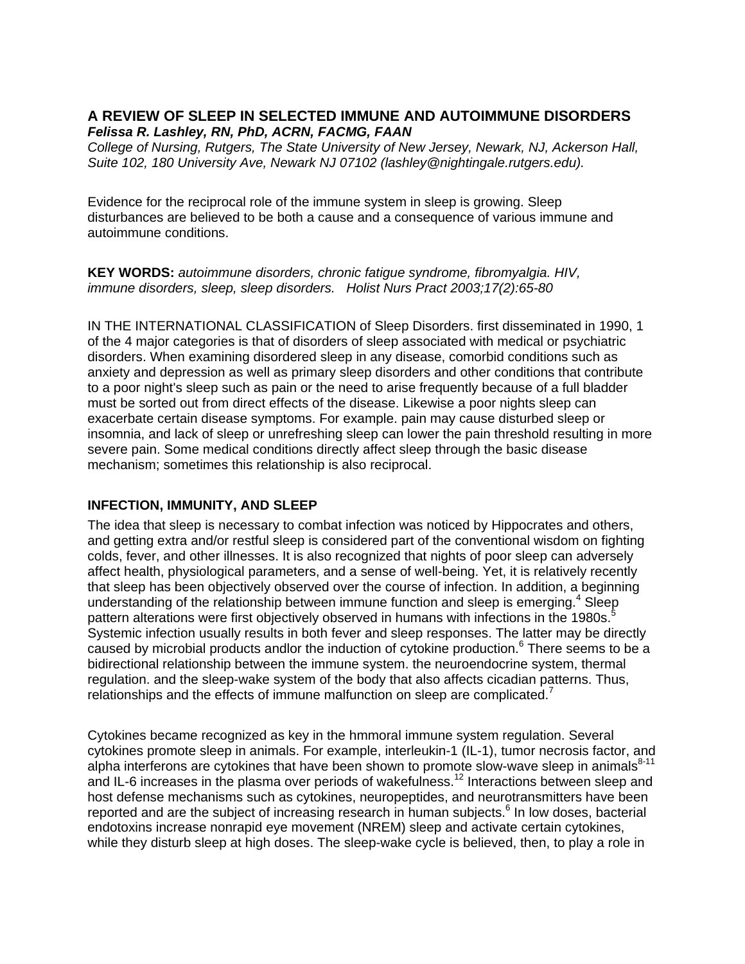# **A REVIEW OF SLEEP IN SELECTED IMMUNE AND AUTOIMMUNE DISORDERS**  *Felissa R. Lashley, RN, PhD, ACRN, FACMG, FAAN*

*College of Nursing, Rutgers, The State University of New Jersey, Newark, NJ, Ackerson Hall, Suite 102, 180 University Ave, Newark NJ 07102 (lashley@nightingale.rutgers.edu).* 

Evidence for the reciprocal role of the immune system in sleep is growing. Sleep disturbances are believed to be both a cause and a consequence of various immune and autoimmune conditions.

**KEY WORDS:** *autoimmune disorders, chronic fatigue syndrome, fibromyalgia. HIV, immune disorders, sleep, sleep disorders. Holist Nurs Pract 2003;17(2):65-80* 

IN THE INTERNATIONAL CLASSIFICATION of Sleep Disorders. first disseminated in 1990, 1 of the 4 major categories is that of disorders of sleep associated with medical or psychiatric disorders. When examining disordered sleep in any disease, comorbid conditions such as anxiety and depression as well as primary sleep disorders and other conditions that contribute to a poor night's sleep such as pain or the need to arise frequently because of a full bladder must be sorted out from direct effects of the disease. Likewise a poor nights sleep can exacerbate certain disease symptoms. For example. pain may cause disturbed sleep or insomnia, and lack of sleep or unrefreshing sleep can lower the pain threshold resulting in more severe pain. Some medical conditions directly affect sleep through the basic disease mechanism; sometimes this relationship is also reciprocal.

### **INFECTION, IMMUNITY, AND SLEEP**

The idea that sleep is necessary to combat infection was noticed by Hippocrates and others, and getting extra and/or restful sleep is considered part of the conventional wisdom on fighting colds, fever, and other illnesses. It is also recognized that nights of poor sleep can adversely affect health, physiological parameters, and a sense of well-being. Yet, it is relatively recently that sleep has been objectively observed over the course of infection. In addition, a beginning understanding of the relationship between immune function and sleep is emerging.<sup>4</sup> Sleep pattern alterations were first objectively observed in humans with infections in the 1980s.<sup>5</sup> Systemic infection usually results in both fever and sleep responses. The latter may be directly caused by microbial products andlor the induction of cytokine production.<sup>6</sup> There seems to be a bidirectional relationship between the immune system. the neuroendocrine system, thermal regulation. and the sleep-wake system of the body that also affects cicadian patterns. Thus, relationships and the effects of immune malfunction on sleep are complicated.<sup>7</sup>

Cytokines became recognized as key in the hmmoral immune system regulation. Several cytokines promote sleep in animals. For example, interleukin-1 (IL-1), tumor necrosis factor, and alpha interferons are cytokines that have been shown to promote slow-wave sleep in animals $8-11$ and IL-6 increases in the plasma over periods of wakefulness.<sup>12</sup> Interactions between sleep and host defense mechanisms such as cytokines, neuropeptides, and neurotransmitters have been reported and are the subject of increasing research in human subjects. $^6$  In low doses, bacterial endotoxins increase nonrapid eye movement (NREM) sleep and activate certain cytokines, while they disturb sleep at high doses. The sleep-wake cycle is believed, then, to play a role in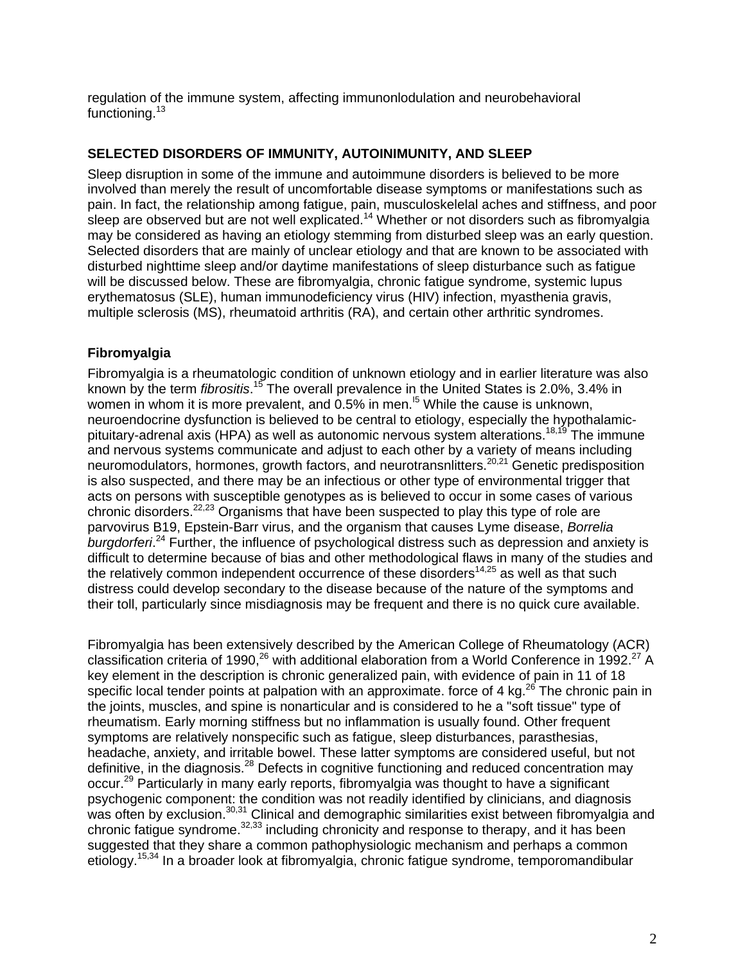regulation of the immune system, affecting immunonlodulation and neurobehavioral functioning.<sup>13</sup>

### **SELECTED DISORDERS OF IMMUNITY, AUTOINIMUNITY, AND SLEEP**

Sleep disruption in some of the immune and autoimmune disorders is believed to be more involved than merely the result of uncomfortable disease symptoms or manifestations such as pain. In fact, the relationship among fatigue, pain, musculoskelelal aches and stiffness, and poor sleep are observed but are not well explicated.<sup>14</sup> Whether or not disorders such as fibromyalgia may be considered as having an etiology stemming from disturbed sleep was an early question. Selected disorders that are mainly of unclear etiology and that are known to be associated with disturbed nighttime sleep and/or daytime manifestations of sleep disturbance such as fatigue will be discussed below. These are fibromyalgia, chronic fatigue syndrome, systemic lupus erythematosus (SLE), human immunodeficiency virus (HIV) infection, myasthenia gravis, multiple sclerosis (MS), rheumatoid arthritis (RA), and certain other arthritic syndromes.

## **Fibromyalgia**

Fibromyalgia is a rheumatologic condition of unknown etiology and in earlier literature was also known by the term *fibrositis*. 15 The overall prevalence in the United States is 2.0%, 3.4% in women in whom it is more prevalent, and  $0.5\%$  in men.<sup>15</sup> While the cause is unknown, neuroendocrine dysfunction is believed to be central to etiology, especially the hypothalamicpituitary-adrenal axis (HPA) as well as autonomic nervous system alterations.<sup>18,19</sup> The immune and nervous systems communicate and adjust to each other by a variety of means including neuromodulators, hormones, growth factors, and neurotransnlitters.<sup>20,21</sup> Genetic predisposition is also suspected, and there may be an infectious or other type of environmental trigger that acts on persons with susceptible genotypes as is believed to occur in some cases of various chronic disorders.22,23 Organisms that have been suspected to play this type of role are parvovirus B19, Epstein-Barr virus, and the organism that causes Lyme disease, *Borrelia burgdorferi*. <sup>24</sup> Further, the influence of psychological distress such as depression and anxiety is difficult to determine because of bias and other methodological flaws in many of the studies and the relatively common independent occurrence of these disorders<sup>14,25</sup> as well as that such distress could develop secondary to the disease because of the nature of the symptoms and their toll, particularly since misdiagnosis may be frequent and there is no quick cure available.

Fibromyalgia has been extensively described by the American College of Rheumatology (ACR) classification criteria of 1990,<sup>26</sup> with additional elaboration from a World Conference in 1992.<sup>27</sup> A key element in the description is chronic generalized pain, with evidence of pain in 11 of 18 specific local tender points at palpation with an approximate. force of 4 kg.<sup>26</sup> The chronic pain in the joints, muscles, and spine is nonarticular and is considered to he a "soft tissue" type of rheumatism. Early morning stiffness but no inflammation is usually found. Other frequent symptoms are relatively nonspecific such as fatigue, sleep disturbances, parasthesias, headache, anxiety, and irritable bowel. These latter symptoms are considered useful, but not definitive, in the diagnosis.<sup>28</sup> Defects in cognitive functioning and reduced concentration may occur.29 Particularly in many early reports, fibromyalgia was thought to have a significant psychogenic component: the condition was not readily identified by clinicians, and diagnosis was often by exclusion.<sup>30,31</sup> Clinical and demographic similarities exist between fibromyalgia and chronic fatigue syndrome.32,33 including chronicity and response to therapy, and it has been suggested that they share a common pathophysiologic mechanism and perhaps a common etiology.15,34 In a broader look at fibromyalgia, chronic fatigue syndrome, temporomandibular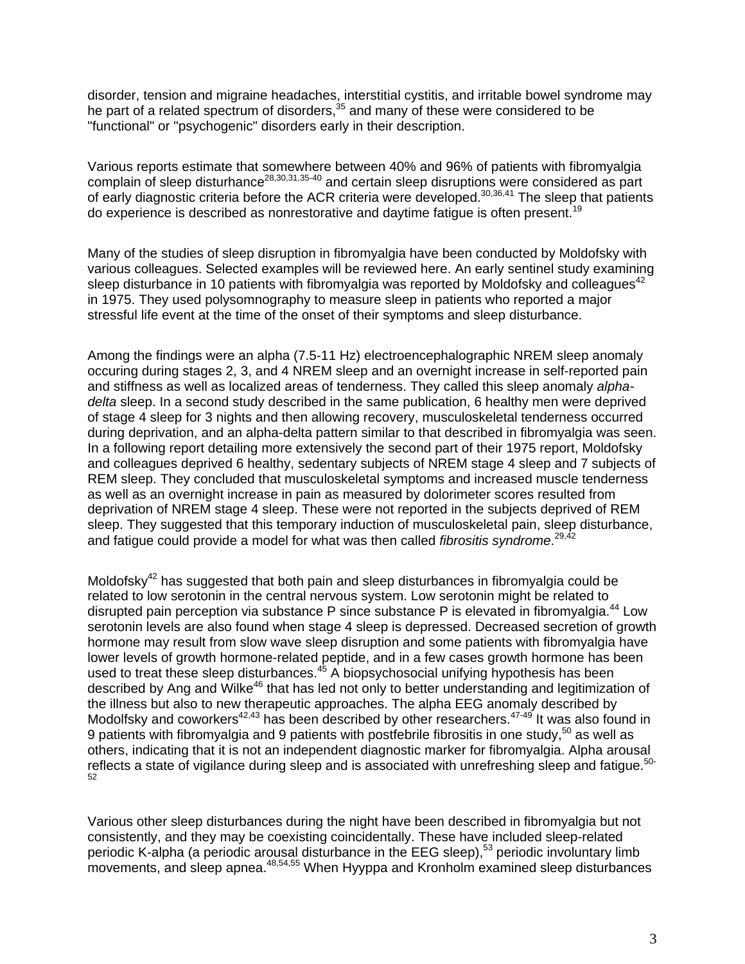disorder, tension and migraine headaches, interstitial cystitis, and irritable bowel syndrome may he part of a related spectrum of disorders,<sup>35</sup> and many of these were considered to be "functional" or "psychogenic" disorders early in their description.

Various reports estimate that somewhere between 40% and 96% of patients with fibromyalgia complain of sleep disturhance<sup>28,30,31,35-40</sup> and certain sleep disruptions were considered as part of early diagnostic criteria before the ACR criteria were developed.<sup>30,36,41</sup> The sleep that patients do experience is described as nonrestorative and daytime fatigue is often present.<sup>19</sup>

Many of the studies of sleep disruption in fibromyalgia have been conducted by Moldofsky with various colleagues. Selected examples will be reviewed here. An early sentinel study examining sleep disturbance in 10 patients with fibromyalgia was reported by Moldofsky and colleagues<sup>42</sup> in 1975. They used polysomnography to measure sleep in patients who reported a major stressful life event at the time of the onset of their symptoms and sleep disturbance.

Among the findings were an alpha (7.5-11 Hz) electroencephalographic NREM sleep anomaly occuring during stages 2, 3, and 4 NREM sleep and an overnight increase in self-reported pain and stiffness as well as localized areas of tenderness. They called this sleep anomaly *alphadelta* sleep. In a second study described in the same publication, 6 healthy men were deprived of stage 4 sleep for 3 nights and then allowing recovery, musculoskeletal tenderness occurred during deprivation, and an alpha-delta pattern similar to that described in fibromyalgia was seen. In a following report detailing more extensively the second part of their 1975 report, Moldofsky and colleagues deprived 6 healthy, sedentary subjects of NREM stage 4 sleep and 7 subjects of REM sleep. They concluded that musculoskeletal symptoms and increased muscle tenderness as well as an overnight increase in pain as measured by dolorimeter scores resulted from deprivation of NREM stage 4 sleep. These were not reported in the subjects deprived of REM sleep. They suggested that this temporary induction of musculoskeletal pain, sleep disturbance, and fatigue could provide a model for what was then called *fibrositis syndrome*. 29,42

Moldofsky<sup>42</sup> has suggested that both pain and sleep disturbances in fibromyalgia could be related to low serotonin in the central nervous system. Low serotonin might be related to disrupted pain perception via substance P since substance P is elevated in fibromyalgia.<sup>44</sup> Low serotonin levels are also found when stage 4 sleep is depressed. Decreased secretion of growth hormone may result from slow wave sleep disruption and some patients with fibromyalgia have lower levels of growth hormone-related peptide, and in a few cases growth hormone has been used to treat these sleep disturbances. $45$  A biopsychosocial unifying hypothesis has been described by Ang and Wilke<sup>46</sup> that has led not only to better understanding and legitimization of the illness but also to new therapeutic approaches. The alpha EEG anomaly described by Modolfsky and coworkers<sup>42,43</sup> has been described by other researchers.<sup>47-49</sup> It was also found in 9 patients with fibromyalgia and 9 patients with postfebrile fibrositis in one study,  $50$  as well as others, indicating that it is not an independent diagnostic marker for fibromyalgia. Alpha arousal reflects a state of vigilance during sleep and is associated with unrefreshing sleep and fatigue.<sup>50-</sup> 52

Various other sleep disturbances during the night have been described in fibromyalgia but not consistently, and they may be coexisting coincidentally. These have included sleep-related periodic K-alpha (a periodic arousal disturbance in the EEG sleep),<sup>53</sup> periodic involuntary limb movements, and sleep apnea.<sup>48,54,55</sup> When Hyyppa and Kronholm examined sleep disturbances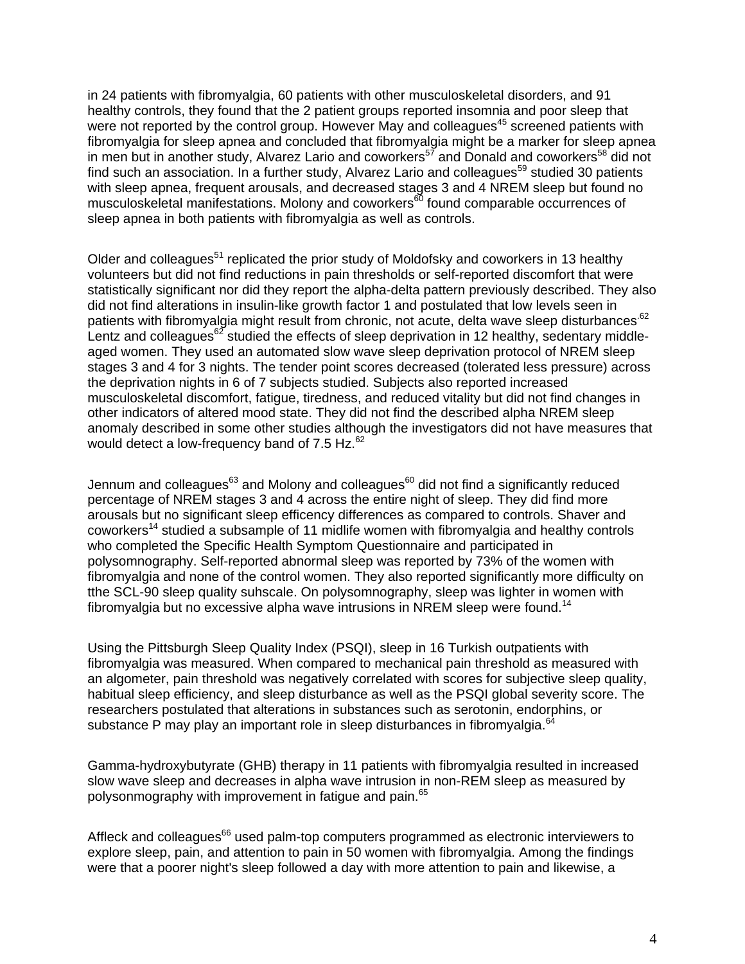in 24 patients with fibromyalgia, 60 patients with other musculoskeletal disorders, and 91 healthy controls, they found that the 2 patient groups reported insomnia and poor sleep that were not reported by the control group. However May and colleagues<sup>45</sup> screened patients with fibromyalgia for sleep apnea and concluded that fibromyalgia might be a marker for sleep apnea in men but in another study, Alvarez Lario and coworkers<sup>57</sup> and Donald and coworkers<sup>58</sup> did not find such an association. In a further study, Alvarez Lario and colleagues<sup>59</sup> studied 30 patients with sleep apnea, frequent arousals, and decreased stages 3 and 4 NREM sleep but found no musculoskeletal manifestations. Molony and coworkers $\delta$ <sup>60</sup> found comparable occurrences of sleep apnea in both patients with fibromyalgia as well as controls.

Older and colleagues<sup>51</sup> replicated the prior study of Moldofsky and coworkers in 13 healthy volunteers but did not find reductions in pain thresholds or self-reported discomfort that were statistically significant nor did they report the alpha-delta pattern previously described. They also did not find alterations in insulin-like growth factor 1 and postulated that low levels seen in patients with fibromyalgia might result from chronic, not acute, delta wave sleep disturbances<sup>62</sup> Lentz and colleagues<sup>62</sup> studied the effects of sleep deprivation in 12 healthy, sedentary middleaged women. They used an automated slow wave sleep deprivation protocol of NREM sleep stages 3 and 4 for 3 nights. The tender point scores decreased (tolerated less pressure) across the deprivation nights in 6 of 7 subjects studied. Subjects also reported increased musculoskeletal discomfort, fatigue, tiredness, and reduced vitality but did not find changes in other indicators of altered mood state. They did not find the described alpha NREM sleep anomaly described in some other studies although the investigators did not have measures that would detect a low-frequency band of 7.5 Hz.<sup>62</sup>

Jennum and colleagues<sup>63</sup> and Molony and colleagues<sup>60</sup> did not find a significantly reduced percentage of NREM stages 3 and 4 across the entire night of sleep. They did find more arousals but no significant sleep efficency differences as compared to controls. Shaver and coworkers<sup>14</sup> studied a subsample of 11 midlife women with fibromyalgia and healthy controls who completed the Specific Health Symptom Questionnaire and participated in polysomnography. Self-reported abnormal sleep was reported by 73% of the women with fibromyalgia and none of the control women. They also reported significantly more difficulty on tthe SCL-90 sleep quality suhscale. On polysomnography, sleep was lighter in women with fibromyalgia but no excessive alpha wave intrusions in NREM sleep were found.<sup>14</sup>

Using the Pittsburgh Sleep Quality Index (PSQI), sleep in 16 Turkish outpatients with fibromyalgia was measured. When compared to mechanical pain threshold as measured with an algometer, pain threshold was negatively correlated with scores for subjective sleep quality, habitual sleep efficiency, and sleep disturbance as well as the PSQI global severity score. The researchers postulated that alterations in substances such as serotonin, endorphins, or substance P may play an important role in sleep disturbances in fibromyalgia. $64$ 

Gamma-hydroxybutyrate (GHB) therapy in 11 patients with fibromyalgia resulted in increased slow wave sleep and decreases in alpha wave intrusion in non-REM sleep as measured by polysonmography with improvement in fatigue and pain.<sup>65</sup>

Affleck and colleagues<sup>66</sup> used palm-top computers programmed as electronic interviewers to explore sleep, pain, and attention to pain in 50 women with fibromyalgia. Among the findings were that a poorer night's sleep followed a day with more attention to pain and likewise, a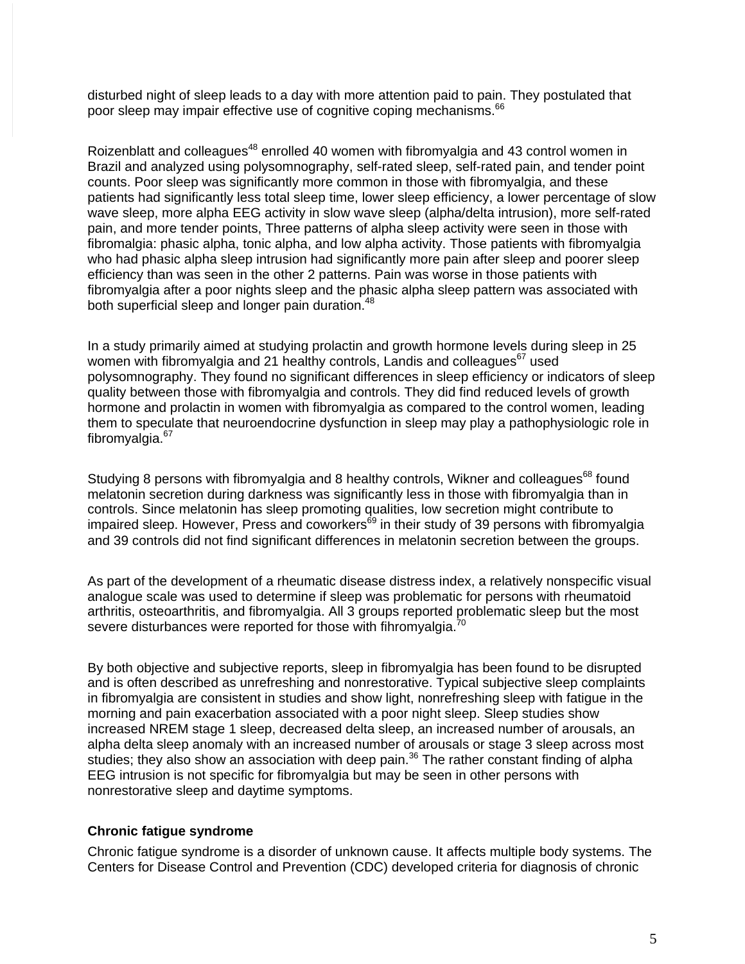disturbed night of sleep leads to a day with more attention paid to pain. They postulated that poor sleep may impair effective use of cognitive coping mechanisms.<sup>66</sup>

Roizenblatt and colleagues<sup>48</sup> enrolled 40 women with fibromyalgia and 43 control women in Brazil and analyzed using polysomnography, self-rated sleep, self-rated pain, and tender point counts. Poor sleep was significantly more common in those with fibromyalgia, and these patients had significantly less total sleep time, lower sleep efficiency, a lower percentage of slow wave sleep, more alpha EEG activity in slow wave sleep (alpha/delta intrusion), more self-rated pain, and more tender points, Three patterns of alpha sleep activity were seen in those with fibromalgia: phasic alpha, tonic alpha, and low alpha activity. Those patients with fibromyalgia who had phasic alpha sleep intrusion had significantly more pain after sleep and poorer sleep efficiency than was seen in the other 2 patterns. Pain was worse in those patients with fibromyalgia after a poor nights sleep and the phasic alpha sleep pattern was associated with both superficial sleep and longer pain duration.<sup>48</sup>

In a study primarily aimed at studying prolactin and growth hormone levels during sleep in 25 women with fibromyalgia and 21 healthy controls, Landis and colleagues $67$  used polysomnography. They found no significant differences in sleep efficiency or indicators of sleep quality between those with fibromyalgia and controls. They did find reduced levels of growth hormone and prolactin in women with fibromyalgia as compared to the control women, leading them to speculate that neuroendocrine dysfunction in sleep may play a pathophysiologic role in fibromyalgia. $67$ 

Studying 8 persons with fibromyalgia and 8 healthy controls, Wikner and colleagues<sup>68</sup> found melatonin secretion during darkness was significantly less in those with fibromyalgia than in controls. Since melatonin has sleep promoting qualities, low secretion might contribute to impaired sleep. However, Press and coworkers $^{69}$  in their study of 39 persons with fibromyalgia and 39 controls did not find significant differences in melatonin secretion between the groups.

As part of the development of a rheumatic disease distress index, a relatively nonspecific visual analogue scale was used to determine if sleep was problematic for persons with rheumatoid arthritis, osteoarthritis, and fibromyalgia. All 3 groups reported problematic sleep but the most severe disturbances were reported for those with fihromyalgia.<sup>7</sup>

By both objective and subjective reports, sleep in fibromyalgia has been found to be disrupted and is often described as unrefreshing and nonrestorative. Typical subjective sleep complaints in fibromyalgia are consistent in studies and show light, nonrefreshing sleep with fatigue in the morning and pain exacerbation associated with a poor night sleep. Sleep studies show increased NREM stage 1 sleep, decreased delta sleep, an increased number of arousals, an alpha delta sleep anomaly with an increased number of arousals or stage 3 sleep across most studies; they also show an association with deep pain.<sup>36</sup> The rather constant finding of alpha EEG intrusion is not specific for fibromyalgia but may be seen in other persons with nonrestorative sleep and daytime symptoms.

#### **Chronic fatigue syndrome**

Chronic fatigue syndrome is a disorder of unknown cause. It affects multiple body systems. The Centers for Disease Control and Prevention (CDC) developed criteria for diagnosis of chronic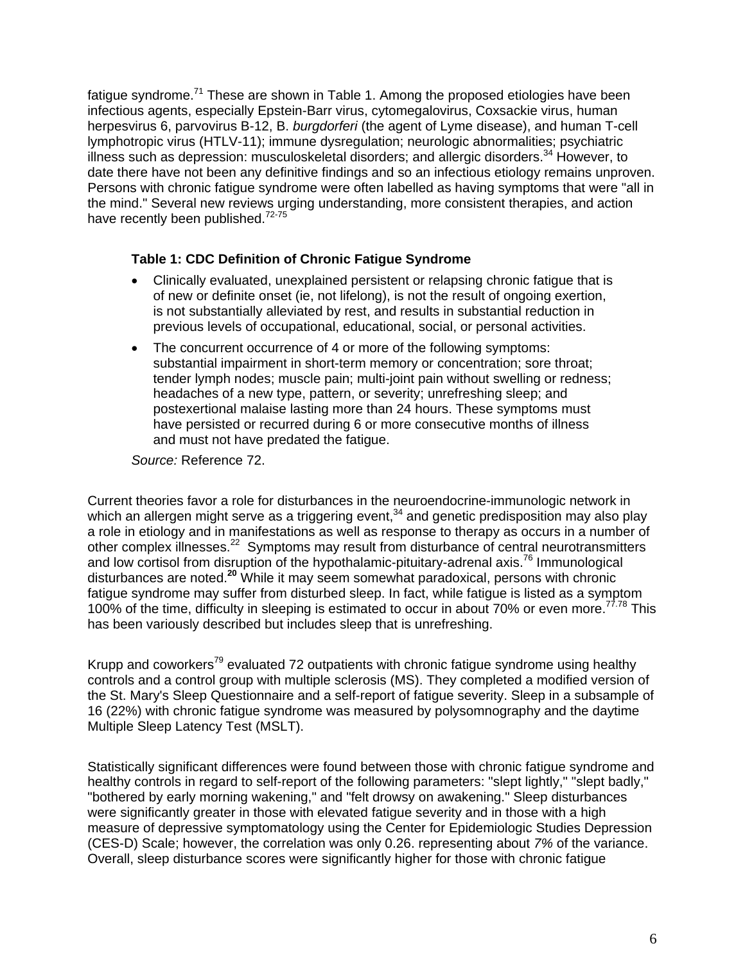fatigue syndrome.<sup>71</sup> These are shown in Table 1. Among the proposed etiologies have been infectious agents, especially Epstein-Barr virus, cytomegalovirus, Coxsackie virus, human herpesvirus 6, parvovirus B-12, B. *burgdorferi* (the agent of Lyme disease), and human T-cell lymphotropic virus (HTLV-11); immune dysregulation; neurologic abnormalities; psychiatric illness such as depression: musculoskeletal disorders; and allergic disorders.<sup>34</sup> However, to date there have not been any definitive findings and so an infectious etiology remains unproven. Persons with chronic fatigue syndrome were often labelled as having symptoms that were "all in the mind." Several new reviews urging understanding, more consistent therapies, and action have recently been published.<sup>72-75</sup>

### **Table 1: CDC Definition of Chronic Fatigue Syndrome**

- Clinically evaluated, unexplained persistent or relapsing chronic fatigue that is of new or definite onset (ie, not lifelong), is not the result of ongoing exertion, is not substantially alleviated by rest, and results in substantial reduction in previous levels of occupational, educational, social, or personal activities.
- The concurrent occurrence of 4 or more of the following symptoms: substantial impairment in short-term memory or concentration; sore throat; tender lymph nodes; muscle pain; multi-joint pain without swelling or redness; headaches of a new type, pattern, or severity; unrefreshing sleep; and postexertional malaise lasting more than 24 hours. These symptoms must have persisted or recurred during 6 or more consecutive months of illness and must not have predated the fatigue.

*Source:* Reference 72.

Current theories favor a role for disturbances in the neuroendocrine-immunologic network in which an allergen might serve as a triggering event, $34$  and genetic predisposition may also play a role in etiology and in manifestations as well as response to therapy as occurs in a number of other complex illnesses.22 Symptoms may result from disturbance of central neurotransmitters and low cortisol from disruption of the hypothalamic-pituitary-adrenal axis.<sup>76</sup> Immunological disturbances are noted.**<sup>20</sup>** While it may seem somewhat paradoxical, persons with chronic fatigue syndrome may suffer from disturbed sleep. In fact, while fatigue is listed as a symptom 100% of the time, difficulty in sleeping is estimated to occur in about 70% or even more.<sup>77.78</sup> This has been variously described but includes sleep that is unrefreshing.

Krupp and coworkers<sup>79</sup> evaluated 72 outpatients with chronic fatigue syndrome using healthy controls and a control group with multiple sclerosis (MS). They completed a modified version of the St. Mary's Sleep Questionnaire and a self-report of fatigue severity. Sleep in a subsample of 16 (22%) with chronic fatigue syndrome was measured by polysomnography and the daytime Multiple Sleep Latency Test (MSLT).

Statistically significant differences were found between those with chronic fatigue syndrome and healthy controls in regard to self-report of the following parameters: "slept lightly," "slept badly," "bothered by early morning wakening," and "felt drowsy on awakening." Sleep disturbances were significantly greater in those with elevated fatigue severity and in those with a high measure of depressive symptomatology using the Center for Epidemiologic Studies Depression (CES-D) Scale; however, the correlation was only 0.26. representing about *7%* of the variance. Overall, sleep disturbance scores were significantly higher for those with chronic fatigue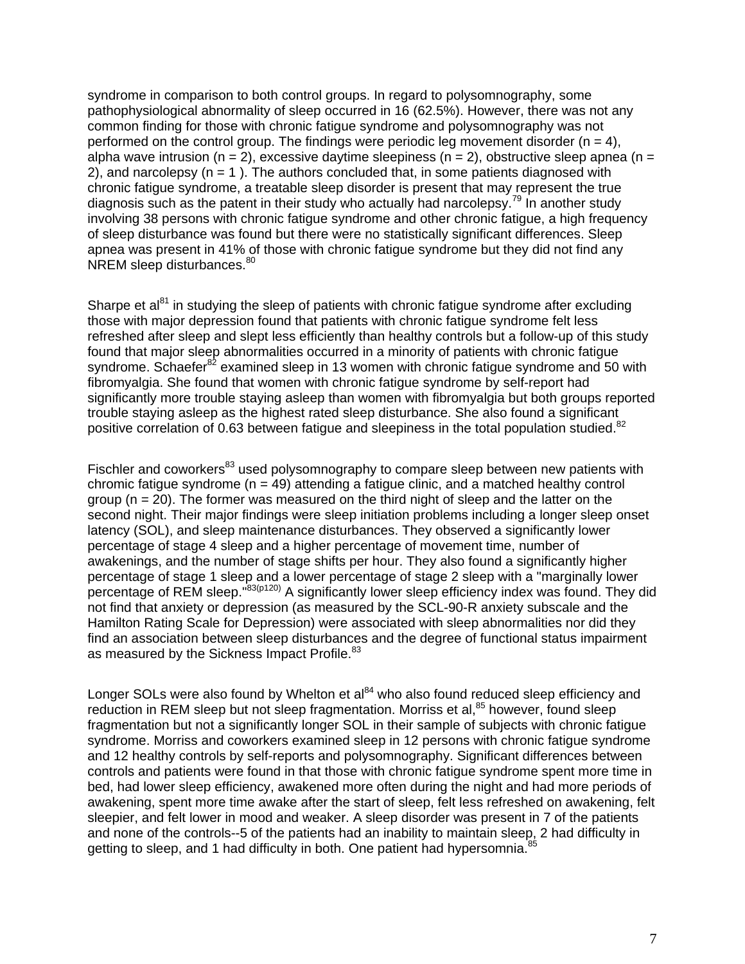syndrome in comparison to both control groups. In regard to polysomnography, some pathophysiological abnormality of sleep occurred in 16 (62.5%). However, there was not any common finding for those with chronic fatigue syndrome and polysomnography was not performed on the control group. The findings were periodic leg movement disorder  $(n = 4)$ , alpha wave intrusion ( $n = 2$ ), excessive daytime sleepiness ( $n = 2$ ), obstructive sleep apnea ( $n =$ 2), and narcolepsy  $(n = 1)$ . The authors concluded that, in some patients diagnosed with chronic fatigue syndrome, a treatable sleep disorder is present that may represent the true diagnosis such as the patent in their study who actually had narcolepsy.<sup>79</sup> In another study involving 38 persons with chronic fatigue syndrome and other chronic fatigue, a high frequency of sleep disturbance was found but there were no statistically significant differences. Sleep apnea was present in 41% of those with chronic fatigue syndrome but they did not find any NREM sleep disturbances.<sup>80</sup>

Sharpe et al<sup>81</sup> in studying the sleep of patients with chronic fatigue syndrome after excluding those with major depression found that patients with chronic fatigue syndrome felt less refreshed after sleep and slept less efficiently than healthy controls but a follow-up of this study found that major sleep abnormalities occurred in a minority of patients with chronic fatigue syndrome. Schaefer<sup>82</sup> examined sleep in 13 women with chronic fatigue syndrome and 50 with fibromyalgia. She found that women with chronic fatigue syndrome by self-report had significantly more trouble staying asleep than women with fibromyalgia but both groups reported trouble staying asleep as the highest rated sleep disturbance. She also found a significant positive correlation of 0.63 between fatigue and sleepiness in the total population studied.<sup>82</sup>

Fischler and coworkers<sup>83</sup> used polysomnography to compare sleep between new patients with chromic fatigue syndrome  $(n = 49)$  attending a fatigue clinic, and a matched healthy control group  $(n = 20)$ . The former was measured on the third night of sleep and the latter on the second night. Their major findings were sleep initiation problems including a longer sleep onset latency (SOL), and sleep maintenance disturbances. They observed a significantly lower percentage of stage 4 sleep and a higher percentage of movement time, number of awakenings, and the number of stage shifts per hour. They also found a significantly higher percentage of stage 1 sleep and a lower percentage of stage 2 sleep with a "marginally lower percentage of REM sleep."<sup>83(p120)</sup> A significantly lower sleep efficiency index was found. They did not find that anxiety or depression (as measured by the SCL-90-R anxiety subscale and the Hamilton Rating Scale for Depression) were associated with sleep abnormalities nor did they find an association between sleep disturbances and the degree of functional status impairment as measured by the Sickness Impact Profile.<sup>83</sup>

Longer SOLs were also found by Whelton et al<sup>84</sup> who also found reduced sleep efficiency and reduction in REM sleep but not sleep fragmentation. Morriss et al,<sup>85</sup> however, found sleep fragmentation but not a significantly longer SOL in their sample of subjects with chronic fatigue syndrome. Morriss and coworkers examined sleep in 12 persons with chronic fatigue syndrome and 12 healthy controls by self-reports and polysomnography. Significant differences between controls and patients were found in that those with chronic fatigue syndrome spent more time in bed, had lower sleep efficiency, awakened more often during the night and had more periods of awakening, spent more time awake after the start of sleep, felt less refreshed on awakening, felt sleepier, and felt lower in mood and weaker. A sleep disorder was present in 7 of the patients and none of the controls--5 of the patients had an inability to maintain sleep, 2 had difficulty in getting to sleep, and 1 had difficulty in both. One patient had hypersomnia.<sup>85</sup>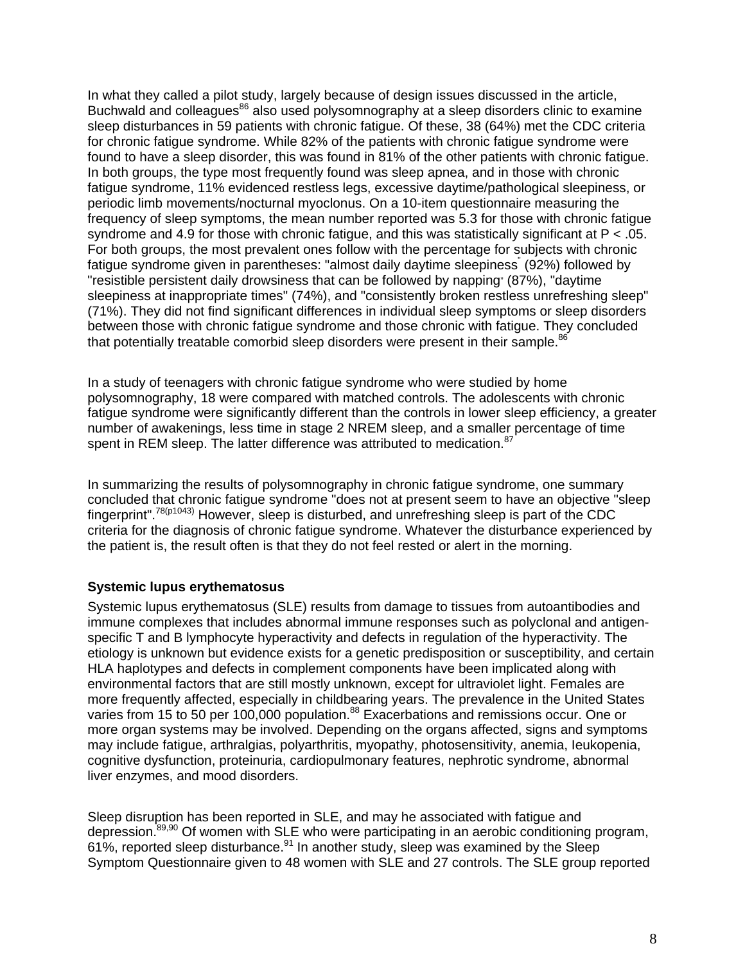In what they called a pilot study, largely because of design issues discussed in the article, Buchwald and colleagues<sup>86</sup> also used polysomnography at a sleep disorders clinic to examine sleep disturbances in 59 patients with chronic fatigue. Of these, 38 (64%) met the CDC criteria for chronic fatigue syndrome. While 82% of the patients with chronic fatigue syndrome were found to have a sleep disorder, this was found in 81% of the other patients with chronic fatigue. In both groups, the type most frequently found was sleep apnea, and in those with chronic fatigue syndrome, 11% evidenced restless legs, excessive daytime/pathological sleepiness, or periodic limb movements/nocturnal myoclonus. On a 10-item questionnaire measuring the frequency of sleep symptoms, the mean number reported was 5.3 for those with chronic fatigue syndrome and 4.9 for those with chronic fatigue, and this was statistically significant at P < .05. For both groups, the most prevalent ones follow with the percentage for subjects with chronic fatigue syndrome given in parentheses: "almost daily daytime sleepiness" (92%) followed by "resistible persistent daily drowsiness that can be followed by napping" (87%), "daytime sleepiness at inappropriate times" (74%), and "consistently broken restless unrefreshing sleep" (71%). They did not find significant differences in individual sleep symptoms or sleep disorders between those with chronic fatigue syndrome and those chronic with fatigue. They concluded that potentially treatable comorbid sleep disorders were present in their sample. $86$ 

In a study of teenagers with chronic fatigue syndrome who were studied by home polysomnography, 18 were compared with matched controls. The adolescents with chronic fatigue syndrome were significantly different than the controls in lower sleep efficiency, a greater number of awakenings, less time in stage 2 NREM sleep, and a smaller percentage of time spent in REM sleep. The latter difference was attributed to medication.<sup>87</sup>

In summarizing the results of polysomnography in chronic fatigue syndrome, one summary concluded that chronic fatigue syndrome "does not at present seem to have an objective "sleep fingerprint".78(p1043) However, sleep is disturbed, and unrefreshing sleep is part of the CDC criteria for the diagnosis of chronic fatigue syndrome. Whatever the disturbance experienced by the patient is, the result often is that they do not feel rested or alert in the morning.

# **Systemic lupus erythematosus**

Systemic lupus erythematosus (SLE) results from damage to tissues from autoantibodies and immune complexes that includes abnormal immune responses such as polyclonal and antigenspecific T and B lymphocyte hyperactivity and defects in regulation of the hyperactivity. The etiology is unknown but evidence exists for a genetic predisposition or susceptibility, and certain HLA haplotypes and defects in complement components have been implicated along with environmental factors that are still mostly unknown, except for ultraviolet light. Females are more frequently affected, especially in childbearing years. The prevalence in the United States varies from 15 to 50 per 100,000 population.<sup>88</sup> Exacerbations and remissions occur. One or more organ systems may be involved. Depending on the organs affected, signs and symptoms may include fatigue, arthralgias, polyarthritis, myopathy, photosensitivity, anemia, Ieukopenia, cognitive dysfunction, proteinuria, cardiopulmonary features, nephrotic syndrome, abnormal liver enzymes, and mood disorders.

Sleep disruption has been reported in SLE, and may he associated with fatigue and depression.<sup>89,90</sup> Of women with SLE who were participating in an aerobic conditioning program, 61%, reported sleep disturbance.  $91$  In another study, sleep was examined by the Sleep Symptom Questionnaire given to 48 women with SLE and 27 controls. The SLE group reported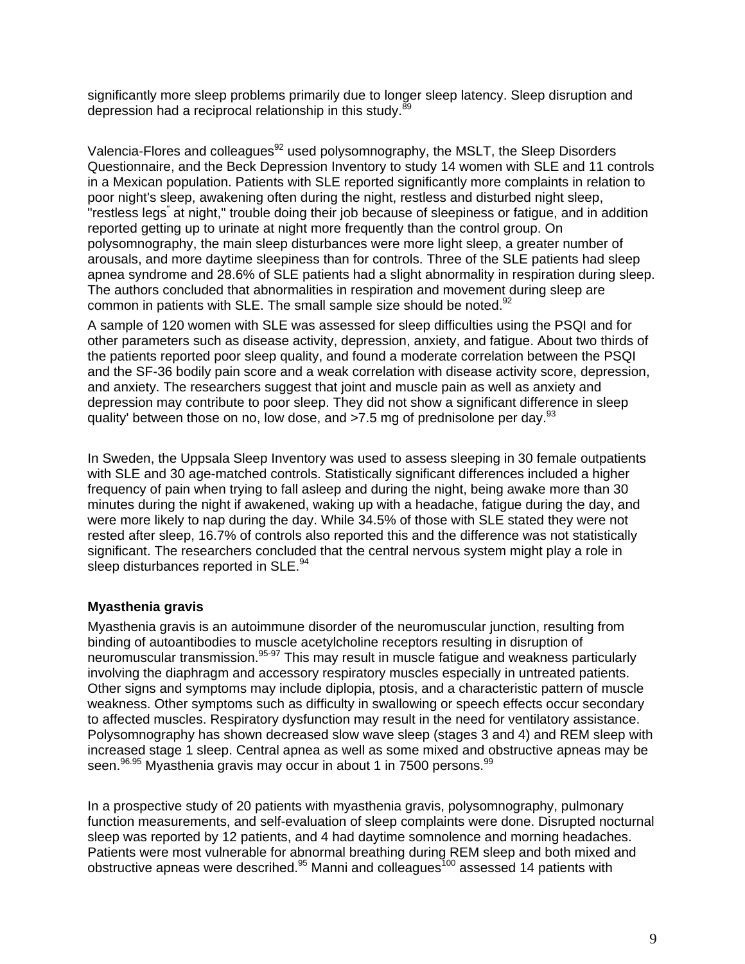significantly more sleep problems primarily due to longer sleep latency. Sleep disruption and depression had a reciprocal relationship in this study.<sup>89</sup>

Valencia-Flores and colleagues<sup>92</sup> used polysomnography, the MSLT, the Sleep Disorders Questionnaire, and the Beck Depression Inventory to study 14 women with SLE and 11 controls in a Mexican population. Patients with SLE reported significantly more complaints in relation to poor night's sleep, awakening often during the night, restless and disturbed night sleep, "restless legs" at night," trouble doing their job because of sleepiness or fatigue, and in addition reported getting up to urinate at night more frequently than the control group. On polysomnography, the main sleep disturbances were more light sleep, a greater number of arousals, and more daytime sleepiness than for controls. Three of the SLE patients had sleep apnea syndrome and 28.6% of SLE patients had a slight abnormality in respiration during sleep. The authors concluded that abnormalities in respiration and movement during sleep are common in patients with SLE. The small sample size should be noted.<sup>92</sup>

A sample of 120 women with SLE was assessed for sleep difficulties using the PSQI and for other parameters such as disease activity, depression, anxiety, and fatigue. About two thirds of the patients reported poor sleep quality, and found a moderate correlation between the PSQI and the SF-36 bodily pain score and a weak correlation with disease activity score, depression, and anxiety. The researchers suggest that joint and muscle pain as well as anxiety and depression may contribute to poor sleep. They did not show a significant difference in sleep quality' between those on no, low dose, and  $>7.5$  mg of prednisolone per day.<sup>93</sup>

In Sweden, the Uppsala Sleep Inventory was used to assess sleeping in 30 female outpatients with SLE and 30 age-matched controls. Statistically significant differences included a higher frequency of pain when trying to fall asleep and during the night, being awake more than 30 minutes during the night if awakened, waking up with a headache, fatigue during the day, and were more likely to nap during the day. While 34.5% of those with SLE stated they were not rested after sleep, 16.7% of controls also reported this and the difference was not statistically significant. The researchers concluded that the central nervous system might play a role in sleep disturbances reported in SLE.<sup>94</sup>

# **Myasthenia gravis**

Myasthenia gravis is an autoimmune disorder of the neuromuscular junction, resulting from binding of autoantibodies to muscle acetylcholine receptors resulting in disruption of neuromuscular transmission.<sup>95-97</sup> This may result in muscle fatigue and weakness particularly involving the diaphragm and accessory respiratory muscles especially in untreated patients. Other signs and symptoms may include diplopia, ptosis, and a characteristic pattern of muscle weakness. Other symptoms such as difficulty in swallowing or speech effects occur secondary to affected muscles. Respiratory dysfunction may result in the need for ventilatory assistance. Polysomnography has shown decreased slow wave sleep (stages 3 and 4) and REM sleep with increased stage 1 sleep. Central apnea as well as some mixed and obstructive apneas may be seen.<sup>96,95</sup> Myasthenia gravis may occur in about 1 in 7500 persons.<sup>99</sup>

In a prospective study of 20 patients with myasthenia gravis, polysomnography, pulmonary function measurements, and self-evaluation of sleep complaints were done. Disrupted nocturnal sleep was reported by 12 patients, and 4 had daytime somnolence and morning headaches. Patients were most vulnerable for abnormal breathing during REM sleep and both mixed and obstructive apneas were descrihed. $95$  Manni and colleagues<sup>100</sup> assessed 14 patients with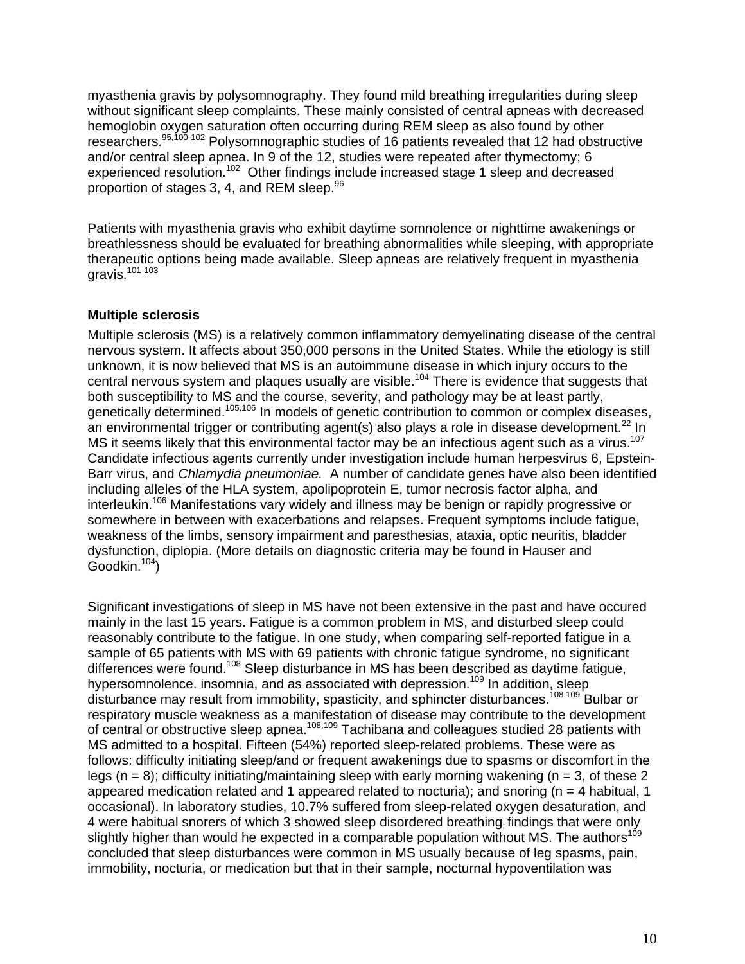myasthenia gravis by polysomnography. They found mild breathing irregularities during sleep without significant sleep complaints. These mainly consisted of central apneas with decreased hemoglobin oxygen saturation often occurring during REM sleep as also found by other researchers.<sup>95,100-102</sup> Polysomnographic studies of 16 patients revealed that 12 had obstructive and/or central sleep apnea. In 9 of the 12, studies were repeated after thymectomy; 6 experienced resolution.<sup>102</sup> Other findings include increased stage 1 sleep and decreased proportion of stages 3, 4, and REM sleep.<sup>96</sup>

Patients with myasthenia gravis who exhibit daytime somnolence or nighttime awakenings or breathlessness should be evaluated for breathing abnormalities while sleeping, with appropriate therapeutic options being made available. Sleep apneas are relatively frequent in myasthenia gravis.101-103

## **Multiple sclerosis**

Multiple sclerosis (MS) is a relatively common inflammatory demyelinating disease of the central nervous system. It affects about 350,000 persons in the United States. While the etiology is still unknown, it is now believed that MS is an autoimmune disease in which injury occurs to the central nervous system and plaques usually are visible.<sup>104</sup> There is evidence that suggests that both susceptibility to MS and the course, severity, and pathology may be at least partly, genetically determined.105,106 In models of genetic contribution to common or complex diseases, an environmental trigger or contributing agent(s) also plays a role in disease development.<sup>22</sup> In MS it seems likely that this environmental factor may be an infectious agent such as a virus.<sup>107</sup> Candidate infectious agents currently under investigation include human herpesvirus 6, Epstein-Barr virus, and *Chlamydia pneumoniae.* A number of candidate genes have also been identified including alleles of the HLA system, apolipoprotein E, tumor necrosis factor alpha, and interleukin.<sup>106</sup> Manifestations vary widely and illness may be benign or rapidly progressive or somewhere in between with exacerbations and relapses. Frequent symptoms include fatique, weakness of the limbs, sensory impairment and paresthesias, ataxia, optic neuritis, bladder dysfunction, diplopia. (More details on diagnostic criteria may be found in Hauser and  $Goodkin.<sup>104</sup>$ )

Significant investigations of sleep in MS have not been extensive in the past and have occured mainly in the last 15 years. Fatigue is a common problem in MS, and disturbed sleep could reasonably contribute to the fatigue. In one study, when comparing self-reported fatigue in a sample of 65 patients with MS with 69 patients with chronic fatigue syndrome, no significant differences were found.108 Sleep disturbance in MS has been described as daytime fatigue, hypersomnolence. insomnia, and as associated with depression.<sup>109</sup> In addition, sleep disturbance may result from immobility, spasticity, and sphincter disturbances.108,109 Bulbar or respiratory muscle weakness as a manifestation of disease may contribute to the development of central or obstructive sleep apnea.108,109 Tachibana and colleagues studied 28 patients with MS admitted to a hospital. Fifteen (54%) reported sleep-related problems. These were as follows: difficulty initiating sleep/and or frequent awakenings due to spasms or discomfort in the legs ( $n = 8$ ); difficulty initiating/maintaining sleep with early morning wakening ( $n = 3$ , of these 2 appeared medication related and 1 appeared related to nocturia); and snoring ( $n = 4$  habitual, 1 occasional). In laboratory studies, 10.7% suffered from sleep-related oxygen desaturation, and 4 were habitual snorers of which 3 showed sleep disordered breathing; findings that were only slightly higher than would he expected in a comparable population without MS. The authors<sup>109</sup> concluded that sleep disturbances were common in MS usually because of leg spasms, pain, immobility, nocturia, or medication but that in their sample, nocturnal hypoventilation was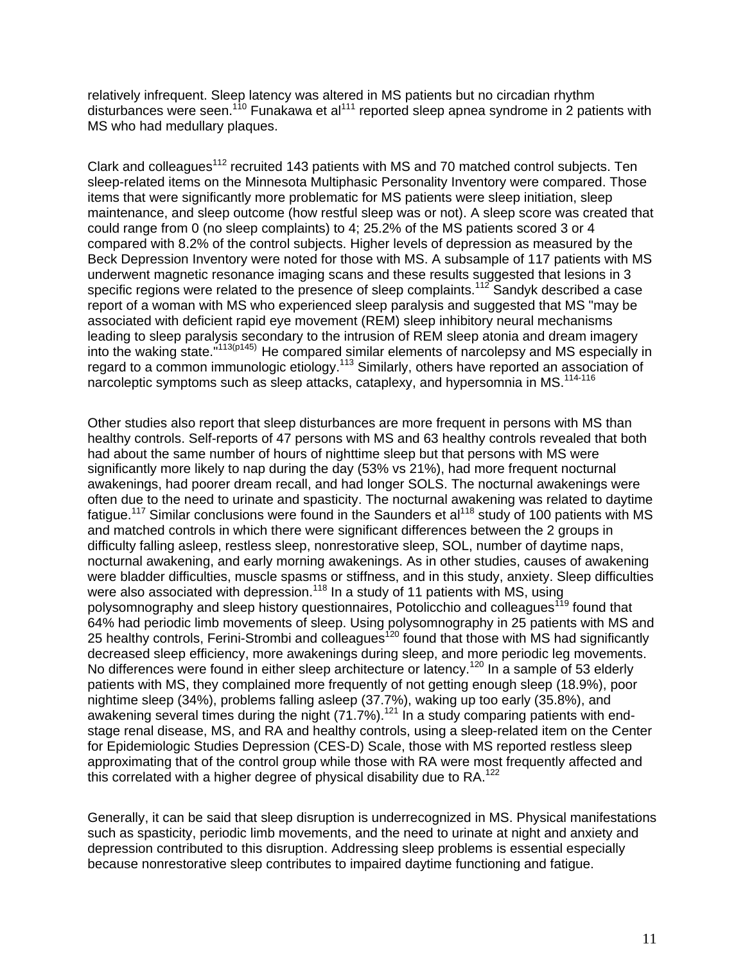relatively infrequent. Sleep latency was altered in MS patients but no circadian rhythm disturbances were seen.<sup>110</sup> Funakawa et al<sup>111</sup> reported sleep apnea syndrome in 2 patients with MS who had medullary plaques.

Clark and colleagues<sup>112</sup> recruited 143 patients with MS and 70 matched control subjects. Ten sleep-related items on the Minnesota Multiphasic Personality Inventory were compared. Those items that were significantly more problematic for MS patients were sleep initiation, sleep maintenance, and sleep outcome (how restful sleep was or not). A sleep score was created that could range from 0 (no sleep complaints) to 4; 25.2% of the MS patients scored 3 or 4 compared with 8.2% of the control subjects. Higher levels of depression as measured by the Beck Depression Inventory were noted for those with MS. A subsample of 117 patients with MS underwent magnetic resonance imaging scans and these results suggested that lesions in 3 specific regions were related to the presence of sleep complaints.<sup>112</sup> Sandyk described a case report of a woman with MS who experienced sleep paralysis and suggested that MS "may be associated with deficient rapid eye movement (REM) sleep inhibitory neural mechanisms leading to sleep paralysis secondary to the intrusion of REM sleep atonia and dream imagery into the waking state."113(p145) He compared similar elements of narcolepsy and MS especially in regard to a common immunologic etiology.113 Similarly, others have reported an association of narcoleptic symptoms such as sleep attacks, cataplexy, and hypersomnia in MS.<sup>114-116</sup>

Other studies also report that sleep disturbances are more frequent in persons with MS than healthy controls. Self-reports of 47 persons with MS and 63 healthy controls revealed that both had about the same number of hours of nighttime sleep but that persons with MS were significantly more likely to nap during the day (53% vs 21%), had more frequent nocturnal awakenings, had poorer dream recall, and had longer SOLS. The nocturnal awakenings were often due to the need to urinate and spasticity. The nocturnal awakening was related to daytime fatigue.<sup>117</sup> Similar conclusions were found in the Saunders et al<sup>118</sup> study of 100 patients with MS and matched controls in which there were significant differences between the 2 groups in difficulty falling asleep, restless sleep, nonrestorative sleep, SOL, number of daytime naps, nocturnal awakening, and early morning awakenings. As in other studies, causes of awakening were bladder difficulties, muscle spasms or stiffness, and in this study, anxiety. Sleep difficulties were also associated with depression.<sup>118</sup> In a study of 11 patients with MS, using polysomnography and sleep history questionnaires, Potolicchio and colleagues<sup>119</sup> found that 64% had periodic limb movements of sleep. Using polysomnography in 25 patients with MS and 25 healthy controls, Ferini-Strombi and colleagues<sup>120</sup> found that those with MS had significantly decreased sleep efficiency, more awakenings during sleep, and more periodic leg movements. No differences were found in either sleep architecture or latency.<sup>120</sup> In a sample of 53 elderly patients with MS, they complained more frequently of not getting enough sleep (18.9%), poor nightime sleep (34%), problems falling asleep (37.7%), waking up too early (35.8%), and awakening several times during the night (71.7%).<sup>121</sup> In a study comparing patients with endstage renal disease, MS, and RA and healthy controls, using a sleep-related item on the Center for Epidemiologic Studies Depression (CES-D) Scale, those with MS reported restless sleep approximating that of the control group while those with RA were most frequently affected and this correlated with a higher degree of physical disability due to RA.<sup>122</sup>

Generally, it can be said that sleep disruption is underrecognized in MS. Physical manifestations such as spasticity, periodic limb movements, and the need to urinate at night and anxiety and depression contributed to this disruption. Addressing sleep problems is essential especially because nonrestorative sleep contributes to impaired daytime functioning and fatigue.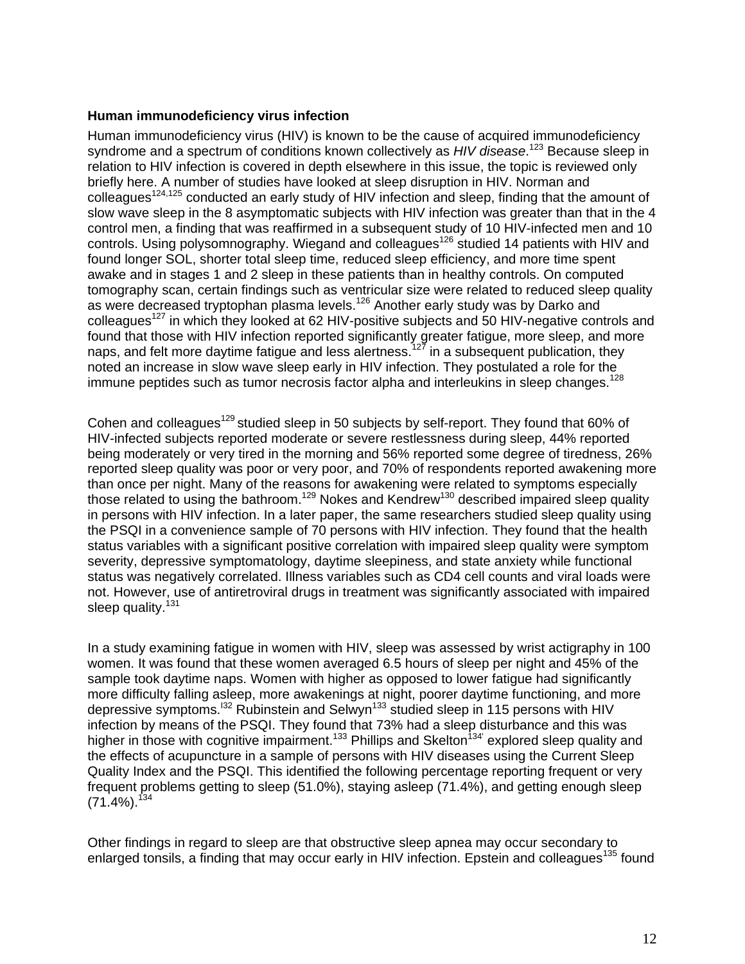### **Human immunodeficiency virus infection**

Human immunodeficiency virus (HIV) is known to be the cause of acquired immunodeficiency syndrome and a spectrum of conditions known collectively as *HIV disease*. <sup>123</sup> Because sleep in relation to HIV infection is covered in depth elsewhere in this issue, the topic is reviewed only briefly here. A number of studies have looked at sleep disruption in HIV. Norman and colleagues<sup>124,125</sup> conducted an early study of HIV infection and sleep, finding that the amount of slow wave sleep in the 8 asymptomatic subjects with HIV infection was greater than that in the 4 control men, a finding that was reaffirmed in a subsequent study of 10 HIV-infected men and 10 controls. Using polysomnography. Wiegand and colleagues<sup>126</sup> studied 14 patients with HIV and found longer SOL, shorter total sleep time, reduced sleep efficiency, and more time spent awake and in stages 1 and 2 sleep in these patients than in healthy controls. On computed tomography scan, certain findings such as ventricular size were related to reduced sleep quality as were decreased tryptophan plasma levels.<sup>126</sup> Another early study was by Darko and colleagues<sup>127</sup> in which they looked at 62 HIV-positive subjects and 50 HIV-negative controls and found that those with HIV infection reported significantly greater fatigue, more sleep, and more naps, and felt more daytime fatigue and less alertness.<sup>127</sup> in a subsequent publication, they noted an increase in slow wave sleep early in HIV infection. They postulated a role for the immune peptides such as tumor necrosis factor alpha and interleukins in sleep changes.<sup>128</sup>

Cohen and colleagues<sup>129</sup> studied sleep in 50 subjects by self-report. They found that 60% of HIV-infected subjects reported moderate or severe restlessness during sleep, 44% reported being moderately or very tired in the morning and 56% reported some degree of tiredness, 26% reported sleep quality was poor or very poor, and 70% of respondents reported awakening more than once per night. Many of the reasons for awakening were related to symptoms especially those related to using the bathroom.<sup>129</sup> Nokes and Kendrew<sup>130</sup> described impaired sleep quality in persons with HIV infection. In a later paper, the same researchers studied sleep quality using the PSQI in a convenience sample of 70 persons with HIV infection. They found that the health status variables with a significant positive correlation with impaired sleep quality were symptom severity, depressive symptomatology, daytime sleepiness, and state anxiety while functional status was negatively correlated. Illness variables such as CD4 cell counts and viral loads were not. However, use of antiretroviral drugs in treatment was significantly associated with impaired sleep quality.<sup>131</sup>

In a study examining fatigue in women with HIV, sleep was assessed by wrist actigraphy in 100 women. It was found that these women averaged 6.5 hours of sleep per night and 45% of the sample took daytime naps. Women with higher as opposed to lower fatigue had significantly more difficulty falling asleep, more awakenings at night, poorer daytime functioning, and more depressive symptoms.<sup>132</sup> Rubinstein and Selwyn<sup>133</sup> studied sleep in 115 persons with HIV infection by means of the PSQI. They found that 73% had a sleep disturbance and this was higher in those with cognitive impairment.<sup>133</sup> Phillips and Skelton<sup>134'</sup> explored sleep quality and the effects of acupuncture in a sample of persons with HIV diseases using the Current Sleep Quality Index and the PSQI. This identified the following percentage reporting frequent or very frequent problems getting to sleep (51.0%), staying asleep (71.4%), and getting enough sleep  $(71.4\%)$ <sup>134</sup>

Other findings in regard to sleep are that obstructive sleep apnea may occur secondary to enlarged tonsils, a finding that may occur early in HIV infection. Epstein and colleagues<sup>135</sup> found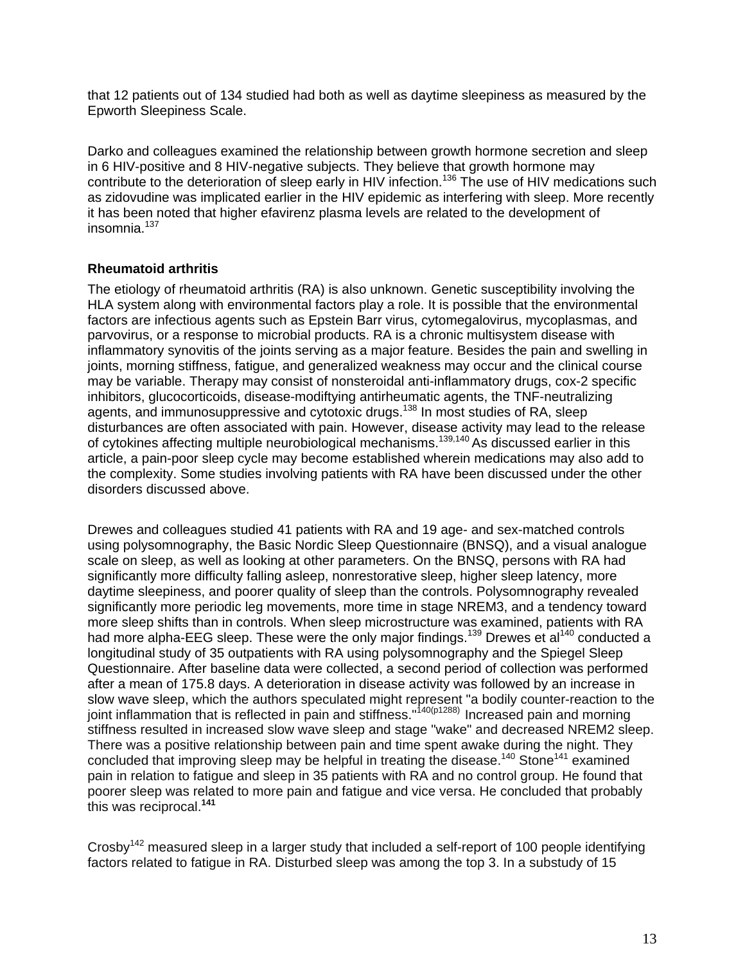that 12 patients out of 134 studied had both as well as daytime sleepiness as measured by the Epworth Sleepiness Scale.

Darko and colleagues examined the relationship between growth hormone secretion and sleep in 6 HIV-positive and 8 HIV-negative subjects. They believe that growth hormone may contribute to the deterioration of sleep early in HIV infection.<sup>136</sup> The use of HIV medications such as zidovudine was implicated earlier in the HIV epidemic as interfering with sleep. More recently it has been noted that higher efavirenz plasma levels are related to the development of insomnia.<sup>137</sup>

### **Rheumatoid arthritis**

The etiology of rheumatoid arthritis (RA) is also unknown. Genetic susceptibility involving the HLA system along with environmental factors play a role. It is possible that the environmental factors are infectious agents such as Epstein Barr virus, cytomegalovirus, mycoplasmas, and parvovirus, or a response to microbial products. RA is a chronic multisystem disease with inflammatory synovitis of the joints serving as a major feature. Besides the pain and swelling in joints, morning stiffness, fatigue, and generalized weakness may occur and the clinical course may be variable. Therapy may consist of nonsteroidal anti-inflammatory drugs, cox-2 specific inhibitors, glucocorticoids, disease-modiftying antirheumatic agents, the TNF-neutralizing agents, and immunosuppressive and cytotoxic drugs.<sup>138</sup> In most studies of RA, sleep disturbances are often associated with pain. However, disease activity may lead to the release of cytokines affecting multiple neurobiological mechanisms.<sup>139,140</sup> As discussed earlier in this article, a pain-poor sleep cycle may become established wherein medications may also add to the complexity. Some studies involving patients with RA have been discussed under the other disorders discussed above.

Drewes and colleagues studied 41 patients with RA and 19 age- and sex-matched controls using polysomnography, the Basic Nordic Sleep Questionnaire (BNSQ), and a visual analogue scale on sleep, as well as looking at other parameters. On the BNSQ, persons with RA had significantly more difficulty falling asleep, nonrestorative sleep, higher sleep latency, more daytime sleepiness, and poorer quality of sleep than the controls. Polysomnography revealed significantly more periodic leg movements, more time in stage NREM3, and a tendency toward more sleep shifts than in controls. When sleep microstructure was examined, patients with RA had more alpha-EEG sleep. These were the only major findings.<sup>139</sup> Drewes et al<sup>140</sup> conducted a longitudinal study of 35 outpatients with RA using polysomnography and the Spiegel Sleep Questionnaire. After baseline data were collected, a second period of collection was performed after a mean of 175.8 days. A deterioration in disease activity was followed by an increase in slow wave sleep, which the authors speculated might represent "a bodily counter-reaction to the joint inflammation that is reflected in pain and stiffness."140(p1288) Increased pain and morning stiffness resulted in increased slow wave sleep and stage "wake" and decreased NREM2 sleep. There was a positive relationship between pain and time spent awake during the night. They concluded that improving sleep may be helpful in treating the disease.<sup>140</sup> Stone<sup>141</sup> examined pain in relation to fatigue and sleep in 35 patients with RA and no control group. He found that poorer sleep was related to more pain and fatigue and vice versa. He concluded that probably this was reciprocal.**<sup>141</sup>**

Crosby<sup>142</sup> measured sleep in a larger study that included a self-report of 100 people identifying factors related to fatigue in RA. Disturbed sleep was among the top 3. In a substudy of 15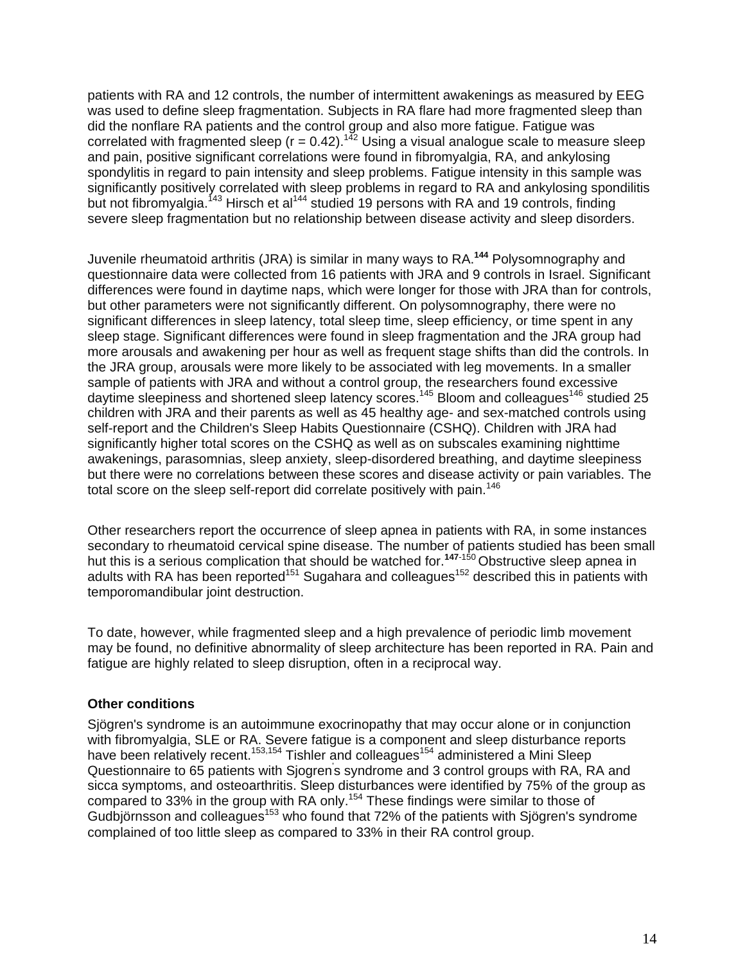patients with RA and 12 controls, the number of intermittent awakenings as measured by EEG was used to define sleep fragmentation. Subjects in RA flare had more fragmented sleep than did the nonflare RA patients and the control group and also more fatigue. Fatigue was correlated with fragmented sleep ( $r = 0.42$ ).<sup>142</sup> Using a visual analogue scale to measure sleep and pain, positive significant correlations were found in fibromyalgia, RA, and ankylosing spondylitis in regard to pain intensity and sleep problems. Fatigue intensity in this sample was significantly positively correlated with sleep problems in regard to RA and ankylosing spondilitis but not fibromyalgia.<sup>143</sup> Hirsch et al<sup>144</sup> studied 19 persons with RA and 19 controls, finding severe sleep fragmentation but no relationship between disease activity and sleep disorders.

Juvenile rheumatoid arthritis (JRA) is similar in many ways to RA.**<sup>144</sup>** Polysomnography and questionnaire data were collected from 16 patients with JRA and 9 controls in Israel. Significant differences were found in daytime naps, which were longer for those with JRA than for controls, but other parameters were not significantly different. On polysomnography, there were no significant differences in sleep latency, total sleep time, sleep efficiency, or time spent in any sleep stage. Significant differences were found in sleep fragmentation and the JRA group had more arousals and awakening per hour as well as frequent stage shifts than did the controls. In the JRA group, arousals were more likely to be associated with leg movements. In a smaller sample of patients with JRA and without a control group, the researchers found excessive daytime sleepiness and shortened sleep latency scores.<sup>145</sup> Bloom and colleagues<sup>146</sup> studied 25 children with JRA and their parents as well as 45 healthy age- and sex-matched controls using self-report and the Children's Sleep Habits Questionnaire (CSHQ). Children with JRA had significantly higher total scores on the CSHQ as well as on subscales examining nighttime awakenings, parasomnias, sleep anxiety, sleep-disordered breathing, and daytime sleepiness but there were no correlations between these scores and disease activity or pain variables. The total score on the sleep self-report did correlate positively with pain.<sup>146</sup>

Other researchers report the occurrence of sleep apnea in patients with RA, in some instances secondary to rheumatoid cervical spine disease. The number of patients studied has been small hut this is a serious complication that should be watched for.**<sup>147</sup>**-150 Obstructive sleep apnea in adults with RA has been reported<sup>151</sup> Sugahara and colleagues<sup>152</sup> described this in patients with temporomandibular joint destruction.

To date, however, while fragmented sleep and a high prevalence of periodic limb movement may be found, no definitive abnormality of sleep architecture has been reported in RA. Pain and fatigue are highly related to sleep disruption, often in a reciprocal way.

### **Other conditions**

Sjögren's syndrome is an autoimmune exocrinopathy that may occur alone or in conjunction with fibromyalgia, SLE or RA. Severe fatigue is a component and sleep disturbance reports have been relatively recent.<sup>153,154</sup> Tishler and colleagues<sup>154</sup> administered a Mini Sleep Questionnaire to 65 patients with Sjogren's syndrome and 3 control groups with RA, RA and sicca symptoms, and osteoarthritis. Sleep disturbances were identified by 75% of the group as compared to 33% in the group with RA only.<sup>154</sup> These findings were similar to those of Gudbjörnsson and colleagues<sup>153</sup> who found that 72% of the patients with Sjögren's syndrome complained of too little sleep as compared to 33% in their RA control group.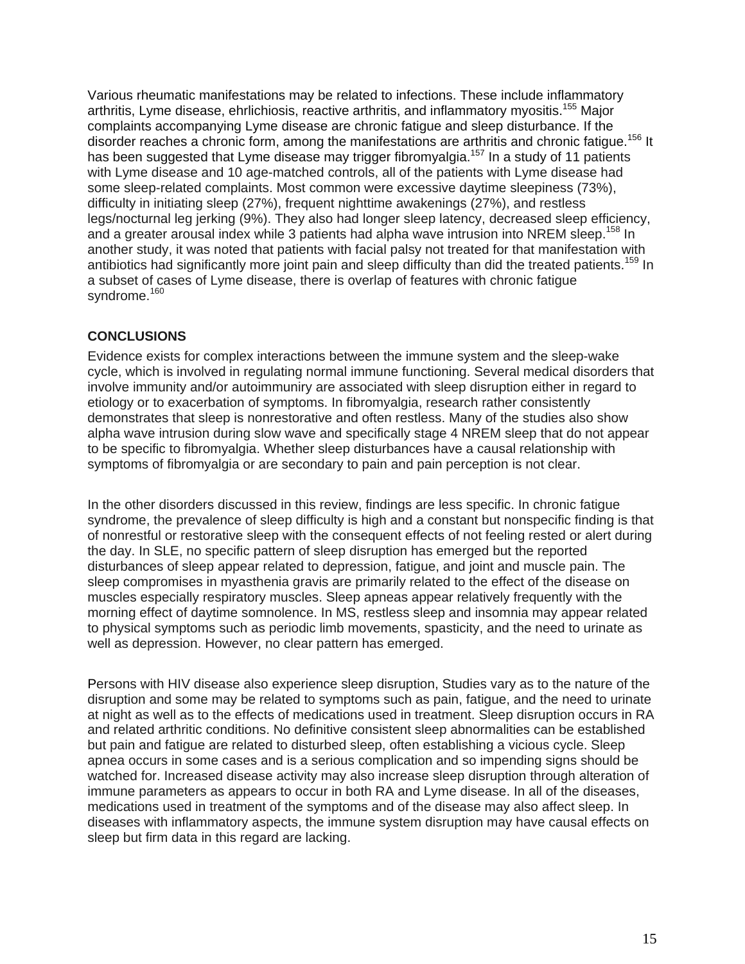Various rheumatic manifestations may be related to infections. These include inflammatory arthritis, Lyme disease, ehrlichiosis, reactive arthritis, and inflammatory myositis.<sup>155</sup> Major complaints accompanying Lyme disease are chronic fatigue and sleep disturbance. If the disorder reaches a chronic form, among the manifestations are arthritis and chronic fatigue.<sup>156</sup> It has been suggested that Lyme disease may trigger fibromyalgia.<sup>157</sup> In a study of 11 patients with Lyme disease and 10 age-matched controls, all of the patients with Lyme disease had some sleep-related complaints. Most common were excessive daytime sleepiness (73%), difficulty in initiating sleep (27%), frequent nighttime awakenings (27%), and restless legs/nocturnal leg jerking (9%). They also had longer sleep latency, decreased sleep efficiency, and a greater arousal index while 3 patients had alpha wave intrusion into NREM sleep.<sup>158</sup> In another study, it was noted that patients with facial palsy not treated for that manifestation with antibiotics had significantly more joint pain and sleep difficulty than did the treated patients.<sup>159</sup> In a subset of cases of Lyme disease, there is overlap of features with chronic fatigue syndrome.<sup>160</sup>

# **CONCLUSIONS**

Evidence exists for complex interactions between the immune system and the sleep-wake cycle, which is involved in regulating normal immune functioning. Several medical disorders that involve immunity and/or autoimmuniry are associated with sleep disruption either in regard to etiology or to exacerbation of symptoms. In fibromyalgia, research rather consistently demonstrates that sleep is nonrestorative and often restless. Many of the studies also show alpha wave intrusion during slow wave and specifically stage 4 NREM sleep that do not appear to be specific to fibromyalgia. Whether sleep disturbances have a causal relationship with symptoms of fibromyalgia or are secondary to pain and pain perception is not clear.

In the other disorders discussed in this review, findings are less specific. In chronic fatigue syndrome, the prevalence of sleep difficulty is high and a constant but nonspecific finding is that of nonrestful or restorative sleep with the consequent effects of not feeling rested or alert during the day. In SLE, no specific pattern of sleep disruption has emerged but the reported disturbances of sleep appear related to depression, fatigue, and joint and muscle pain. The sleep compromises in myasthenia gravis are primarily related to the effect of the disease on muscles especially respiratory muscles. Sleep apneas appear relatively frequently with the morning effect of daytime somnolence. In MS, restless sleep and insomnia may appear related to physical symptoms such as periodic limb movements, spasticity, and the need to urinate as well as depression. However, no clear pattern has emerged.

Persons with HIV disease also experience sleep disruption, Studies vary as to the nature of the disruption and some may be related to symptoms such as pain, fatigue, and the need to urinate at night as well as to the effects of medications used in treatment. Sleep disruption occurs in RA and related arthritic conditions. No definitive consistent sleep abnormalities can be established but pain and fatigue are related to disturbed sleep, often establishing a vicious cycle. Sleep apnea occurs in some cases and is a serious complication and so impending signs should be watched for. Increased disease activity may also increase sleep disruption through alteration of immune parameters as appears to occur in both RA and Lyme disease. In all of the diseases, medications used in treatment of the symptoms and of the disease may also affect sleep. In diseases with inflammatory aspects, the immune system disruption may have causal effects on sleep but firm data in this regard are lacking.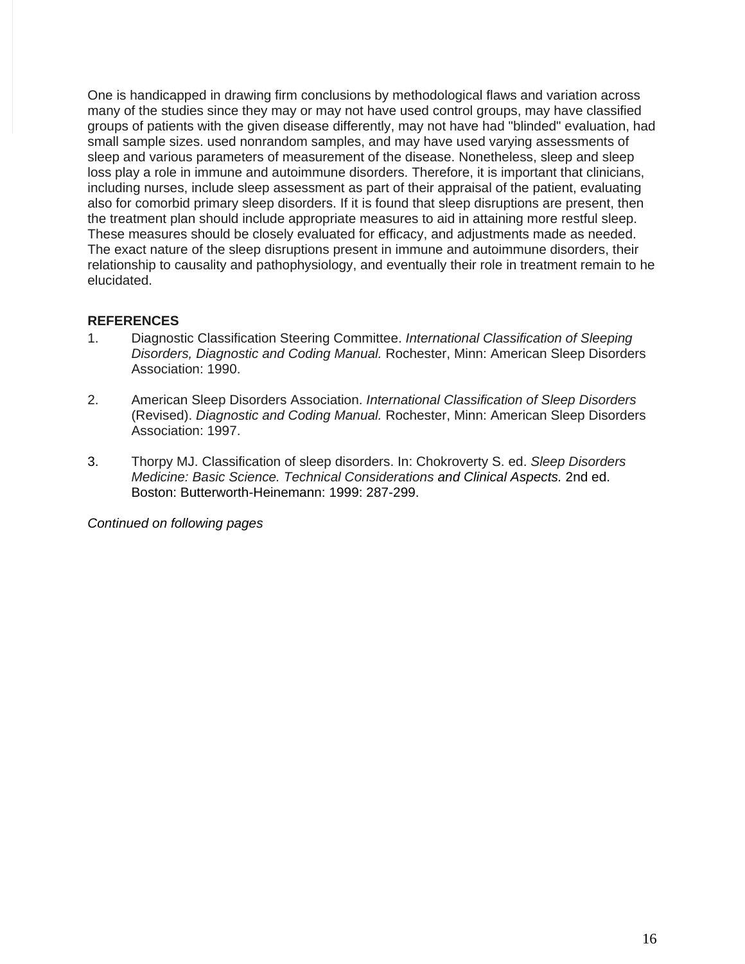One is handicapped in drawing firm conclusions by methodological flaws and variation across many of the studies since they may or may not have used control groups, may have classified groups of patients with the given disease differently, may not have had "blinded" evaluation, had small sample sizes. used nonrandom samples, and may have used varying assessments of sleep and various parameters of measurement of the disease. Nonetheless, sleep and sleep loss play a role in immune and autoimmune disorders. Therefore, it is important that clinicians, including nurses, include sleep assessment as part of their appraisal of the patient, evaluating also for comorbid primary sleep disorders. If it is found that sleep disruptions are present, then the treatment plan should include appropriate measures to aid in attaining more restful sleep. These measures should be closely evaluated for efficacy, and adjustments made as needed. The exact nature of the sleep disruptions present in immune and autoimmune disorders, their relationship to causality and pathophysiology, and eventually their role in treatment remain to he elucidated.

## **REFERENCES**

- 1. Diagnostic Classification Steering Committee. *International Classification of Sleeping Disorders, Diagnostic and Coding Manual.* Rochester, Minn: American Sleep Disorders Association: 1990.
- 2. American Sleep Disorders Association. *International Classification of Sleep Disorders*  (Revised). *Diagnostic and Coding Manual.* Rochester, Minn: American Sleep Disorders Association: 1997.
- 3. Thorpy MJ. Classification of sleep disorders. In: Chokroverty S. ed. *Sleep Disorders Medicine: Basic Science. Technical Considerations and Clinical Aspects.* 2nd ed. Boston: Butterworth-Heinemann: 1999: 287-299.

*Continued on following pages*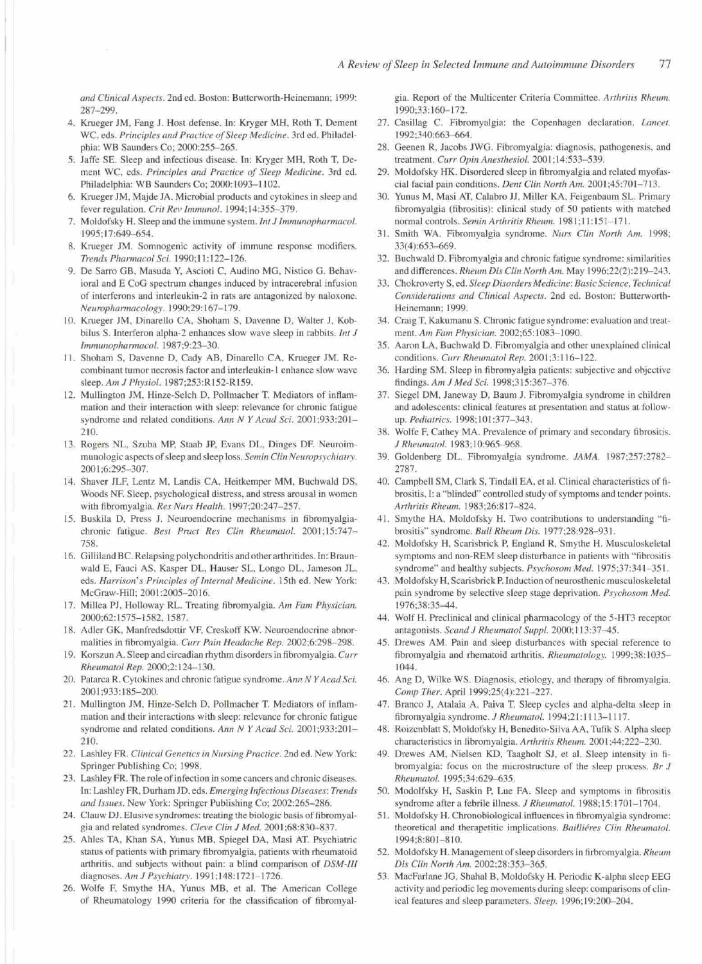and Clinical Aspects. 2nd ed. Boston: Butterworth-Heinemann; 1999: 287-299.

- 4. Krueger JM, Fang J. Host defense. In: Kryger MH, Roth T, Dement WC, eds. Principles and Practice of Sleep Medicine. 3rd ed. Philadelphia: WB Saunders Co; 2000:255-265.
- 5. Jaffe SE. Sleep and infectious disease. In: Kryger MH, Roth T, Dement WC, eds. Principles and Practice of Sleep Medicine. 3rd ed. Philadelphia: WB Saunders Co; 2000:1093-1102.
- 6. Krueger JM, Maide JA, Microbial products and cytokines in sleep and fever regulation. Crit Rev Immunol. 1994;14:355-379.
- 7. Moldofsky H. Sleep and the immune system. Int J Immunopharmacol. 1995;17:649-654.
- 8. Krueger JM. Somnogenic activity of immune response modifiers. Trends Pharmacol Sci. 1990;11:122-126.
- 9. De Sarro GB, Masuda Y, Ascioti C, Audino MG, Nistico G. Behavioral and E CoG spectrum changes induced by intracerebral infusion of interferons and interleukin-2 in rats are antagonized by naloxone. Neuropharmacology. 1990;29:167-179.
- 10. Krueger JM, Dinarello CA, Shoham S, Davenne D, Walter J, Kobbilus S. Interferon alpha-2 enhances slow wave sleep in rabbits. Int J Immunopharmacol. 1987;9:23-30.
- 11. Shoham S, Davenne D, Cady AB, Dinarello CA, Krueger JM. Recombinant tumor necrosis factor and interleukin-1 enhance slow wave sleep. Am J Physiol. 1987;253:R152-R159.
- 12. Mullington JM, Hinze-Selch D, Pollmacher T. Mediators of inflammation and their interaction with sleep: relevance for chronic fatigue syndrome and related conditions. Ann N Y Acad Sci. 2001;933:201-210.
- 13. Rogers NL, Szuba MP, Staab JP, Evans DL, Dinges DF. Neuroimmunologic aspects of sleep and sleep loss. Semin Clin Neuropsychiatry. 2001;6:295-307.
- 14. Shaver JLF, Lentz M, Landis CA, Heitkemper MM, Buchwald DS, Woods NF. Sleep, psychological distress, and stress arousal in women with fibromyalgia. Res Nurs Health. 1997;20:247-257.
- 15. Buskila D, Press J. Neuroendocrine mechanisms in fibromyalgiachronic fatigue. Best Pract Res Clin Rheumatol. 2001;15:747-758
- 16. Gilliland BC. Relapsing polychondritis and other arthritides. In: Braunwald E, Fauci AS, Kasper DL, Hauser SL, Longo DL, Jameson JL, eds. Harrison's Principles of Internal Medicine. 15th ed. New York: McGraw-Hill; 2001:2005-2016.
- 17. Millea PJ, Holloway RL. Treating fibromyalgia. Am Fam Physician. 2000;62:1575-1582, 1587.
- 18. Adler GK, Manfredsdottir VF, Creskoff KW. Neuroendocrine abnormalities in fibromyalgia. Curr Pain Headache Rep. 2002;6:298-298.
- 19. Korszun A. Sleep and circadian rhythm disorders in fibromyalgia. Curr Rheumatol Rep. 2000;2:124-130.
- 20. Patarca R. Cytokines and chronic fatigue syndrome. Ann N Y Acad Sci. 2001;933:185-200.
- 21. Mullington JM, Hinze-Selch D, Pollmacher T. Mediators of inflammation and their interactions with sleep: relevance for chronic fatigue syndrome and related conditions. Ann N Y Acad Sci. 2001;933:201-210.
- 22. Lashley FR. Clinical Genetics in Nursing Practice. 2nd ed. New York: Springer Publishing Co; 1998.
- 23. Lashley FR. The role of infection in some cancers and chronic diseases. In: Lashley FR, Durham JD, eds. Emerging Infectious Diseases: Trends and Issues. New York: Springer Publishing Co; 2002:265-286.
- 24. Clauw DJ. Elusive syndromes: treating the biologic basis of fibromyalgia and related syndromes. Cleve Clin J Med. 2001;68:830-837.
- 25. Ahles TA, Khan SA, Yunus MB, Spiegel DA, Masi AT. Psychiatric status of patients with primary fibromyalgia, patients with rheumatoid arthritis, and subjects without pain: a blind comparison of DSM-III diagnoses. Am J Psychiatry. 1991;148:1721-1726.
- Wolfe F, Smythe HA, Yunus MB, et al. The American College 26. of Rheumatology 1990 criteria for the classification of fibromyal-

gia. Report of the Multicenter Criteria Committee. Arthritis Rheum. 1990:33:160-172.

- 27. Casillag C. Fibromyalgia: the Copenhagen declaration. Lancet. 1992;340:663-664.
- 28. Geenen R, Jacobs JWG. Fibromyalgia: diagnosis, pathogenesis, and treatment. Curr Opin Anesthesiol. 2001;14:533-539.
- 29. Moldofsky HK. Disordered sleep in fibromyalgia and related myofascial facial pain conditions. Dent Clin North Am. 2001;45:701-713.
- 30. Yunus M, Masi AT, Calabro JJ, Miller KA, Feigenbaum SL. Primary fibromyalgia (fibrositis): clinical study of 50 patients with matched normal controls. Semin Arthritis Rheum. 1981;11:151-171.
- 31. Smith WA. Fibromyalgia syndrome. Nurs Clin North Am. 1998; 33(4):653-669.
- 32. Buchwald D. Fibromvalgia and chronic fatigue syndrome: similarities and differences. Rheum Dis Clin North Am. May 1996;22(2):219-243.
- 33. Chokroverty S, ed. Sleep Disorders Medicine: Basic Science, Technical Considerations and Clinical Aspects. 2nd ed. Boston: Butterworth-Heinemann; 1999.
- 34. Craig T, Kakumanu S. Chronic fatigue syndrome: evaluation and treatment. Am Fam Physician. 2002;65:1083-1090.
- 35. Aaron LA, Buchwald D. Fibromyalgia and other unexplained clinical conditions. Curr Rheumatol Rep. 2001;3:116-122.
- 36. Harding SM. Sleep in fibromyalgia patients: subjective and objective findings. Am J Med Sci. 1998;315:367-376.
- 37. Siegel DM, Janeway D, Baum J. Fibromyalgia syndrome in children and adolescents: clinical features at presentation and status at followup. Pediatrics. 1998;101:377-343.
- 38. Wolfe F, Cathey MA. Prevalence of primary and secondary fibrositis. J Rheumatol. 1983;10:965-968.
- 39. Goldenberg DL. Fibromyalgia syndrome. JAMA. 1987;257:2782-2787.
- 40. Campbell SM, Clark S, Tindall EA, et al. Clinical characteristics of fibrositis, I: a "blinded" controlled study of symptoms and tender points. Arthritis Rheum. 1983;26:817-824.
- 41. Smythe HA, Moldofsky H. Two contributions to understanding "fibrositis" syndrome. Bull Rheum Dis. 1977;28:928-931.
- 42. Moldofsky H, Scarisbrick P, England R, Smythe H. Musculoskeletal symptoms and non-REM sleep disturbance in patients with "fibrositis syndrome" and healthy subjects. Psychosom Med. 1975;37:341-351.
- 43. Moldofsky H, Scarisbrick P. Induction of neurosthenic musculoskeletal pain syndrome by selective sleep stage deprivation. Psychosom Med. 1976;38:35-44.
- 44. Wolf H. Preclinical and clinical pharmacology of the 5-HT3 receptor antagonists. Scand J Rheumatol Suppl. 2000;113:37-45.
- 45. Drewes AM. Pain and sleep disturbances with special reference to fibromyalgia and rhematoid arthritis. Rheumatology. 1999;38:1035-1044
- 46. Ang D, Wilke WS. Diagnosis, etiology, and therapy of fibromyalgia. Comp Ther. April 1999;25(4):221-227.
- 47. Branco J, Atalaia A, Paiva T. Sleep cycles and alpha-delta sleep in fibromyalgia syndrome. J Rheumatol. 1994;21:1113-1117.
- 48. Roizenblatt S, Moldofsky H, Benedito-Silva AA, Tufik S. Alpha sleep characteristics in fibromyalgia. Arthritis Rheum. 2001;44:222-230.
- 49. Drewes AM, Nielsen KD, Taagholt SJ, et al. Sleep intensity in fibromyalgia: focus on the microstructure of the sleep process. Br  $J$ Rheumatol. 1995;34:629-635.
- 50. Modolfsky H, Saskin P, Lue FA. Sleep and symptoms in fibrositis syndrome after a febrile illness. J Rheumatol. 1988;15:1701-1704.
- 51. Moldofsky H. Chronobiological influences in fibromyalgia syndrome: theoretical and therapetitic implications. Bailliéres Clin Rheumatol. 1994;8:801-810.
- 52. Moldofsky H. Management of sleep disorders in firbromyalgia. Rheum Dis Clin North Am. 2002;28:353-365.
- 53. MacFarlane JG, Shahal B, Moldofsky H. Periodic K-alpha sleep EEG activity and periodic leg movements during sleep: comparisons of clinical features and sleep parameters. Sleep. 1996;19:200-204.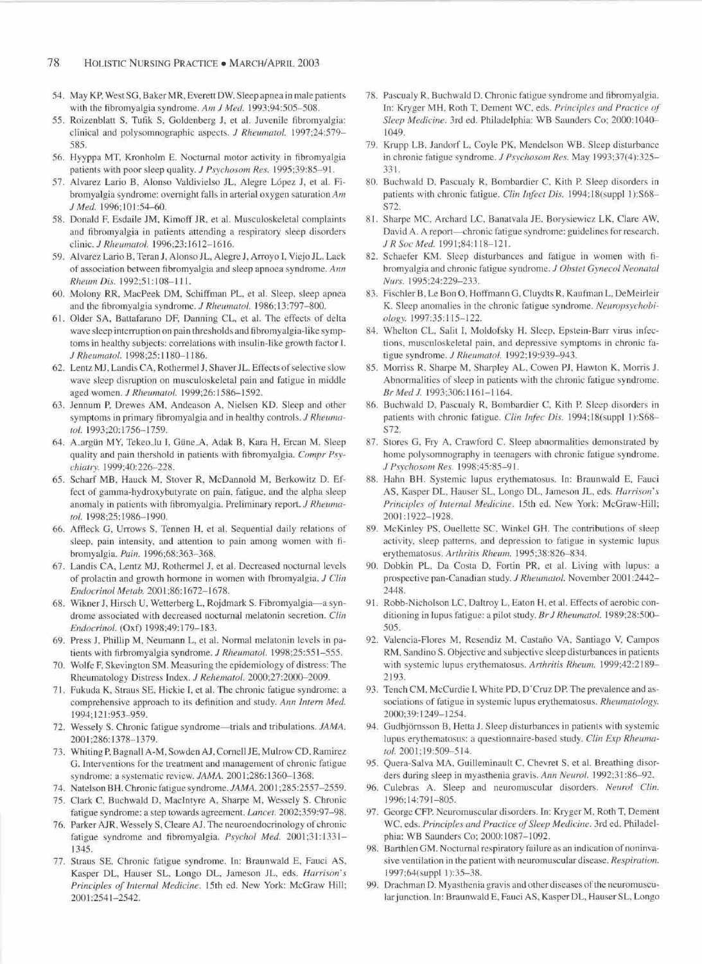- 54. May KP, West SG, Baker MR, Everett DW. Sleep apnea in male patients with the fibromyalgia syndrome. Am J Med. 1993;94:505-508.
- 55. Roizenblatt S, Tufik S, Goldenberg J, et al. Juvenile fibromyalgia: clinical and polysomnographic aspects. J Rheumatol. 1997;24:579-585
- 56. Hyyppa MT, Kronholm E. Nocturnal motor activity in fibromyalgia patients with poor sleep quality. J Psychosom Res. 1995;39:85-91.
- 57. Alvarez Lario B, Alonso Valdivielso JL, Alegre López J, et al. Fibromyalgia syndrome: overnight falls in arterial oxygen saturation  $Am$ J Med. 1996;101:54-60.
- 58. Donald F, Esdaile JM, Kimoff JR, et al. Musculoskeletal complaints and fibromyalgia in patients attending a respiratory sleep disorders clinic. J Rheumatol. 1996;23:1612-1616.
- 59. Alvarez Lario B, Teran J, Alonso JL, Alegre J, Arroyo I, Viejo JL. Lack of association between fibromyalgia and sleep apnoea syndrome. Ann Rheum Dis. 1992:51:108-111.
- 60. Molony RR, MacPeek DM, Schiffman PL, et al. Sleep, sleep apnea and the fibromyalgia syndrome. J Rheumatol. 1986;13:797-800.
- 61. Older SA, Battafarano DF, Danning CL, et al. The effects of delta wave sleep interruption on pain thresholds and fibromyalgia-like symptoms in healthy subjects: correlations with insulin-like growth factor I. J Rheumatol. 1998;25:1180-1186.
- 62. Lentz MJ, Landis CA, Rothermel J, Shaver JL. Effects of selective slow wave sleep disruption on musculoskeletal pain and fatigue in middle aged women. J Rheumatol. 1999;26:1586-1592.
- 63. Jennum P, Drewes AM, Andeason A, Nielsen KD. Sleep and other symptoms in primary fibromyalgia and in healthy controls. J Rheumatol. 1993;20:1756-1759.
- 64. A argün MY, Tekeo lu I, Güne A, Adak B, Kara H, Ercan M. Sleep quality and pain thershold in patients with fibromyalgia. Compr Psychiatry. 1999;40:226-228.
- 65. Scharf MB, Hauck M, Stover R, McDannold M, Berkowitz D. Effect of gamma-hydroxybutyrate on pain, fatigue, and the alpha sleep anomaly in patients with fibromyalgia. Preliminary report. J Rheumatol. 1998;25:1986-1990.
- 66. Affleck G, Urrows S, Tennen H, et al. Sequential daily relations of sleep, pain intensity, and attention to pain among women with fibromvalgia. Pain. 1996;68:363-368.
- 67. Landis CA, Lentz MJ, Rothermel J, et al. Decreased nocturnal levels of prolactin and growth hormone in women with fbromyalgia, J Clin Endocrinol Metab. 2001;86:1672-1678.
- 68. Wikner J, Hirsch U, Wetterberg L, Rojdmark S. Fibromyalgia-a syndrome associated with decreased nocturnal melatonin secretion. Clin Endocrinol. (Oxf) 1998:49:179-183.
- 69. Press J, Phillip M, Neumann L, et al. Normal melatonin levels in patients with firbromyalgia syndrome. J Rheumatol. 1998;25:551-555.
- 70. Wolfe F, Skevington SM. Measuring the epidemiology of distress: The Rheumatology Distress Index. J Rehematol. 2000;27:2000-2009.
- 71. Fukuda K, Straus SE, Hickie I, et al. The chronic fatigue syndrome: a comprehensive approach to its definition and study. Ann Intern Med. 1994;121:953-959.
- 72. Wesselv S. Chronic fatigue syndrome—trials and tribulations. JAMA. 2001:286:1378-1379.
- 73. Whiting P, Bagnall A-M, Sowden AJ, Cornell JE, Mulrow CD, Ramirez G. Interventions for the treatment and management of chronic fatigue syndrome: a systematic review. JAMA. 2001;286:1360-1368.
- 74. Natelson BH. Chronic fatigue syndrome. JAMA. 2001;285:2557-2559.
- 75. Clark C, Buchwald D, MacIntyre A, Sharpe M, Wessely S. Chronic fatigue syndrome: a step towards agreement. Lancet. 2002;359:97-98.
- 76. Parker AJR, Wessely S, Cleare AJ. The neuroendocrinology of chronic fatigue syndrome and fibromyalgia. Psychol Med. 2001;31:1331-1345.
- 77. Straus SE. Chronic fatigue syndrome. In: Braunwald E, Fauci AS, Kasper DL, Hauser SL, Longo DL, Jameson JL, eds. Harrison's Principles of Internal Medicine. 15th ed. New York: McGraw Hill; 2001:2541-2542.
- 78. Pascualy R, Buchwald D. Chronic fatigue syndrome and fibromyalgia. In: Kryger MH, Roth T, Dement WC, eds. Principles and Practice of Sleep Medicine. 3rd ed. Philadelphia: WB Saunders Co; 2000:1040-1049
- 79. Krupp LB, Jandorf L, Coyle PK, Mendelson WB. Sleep disturbance in chronic fatigue syndrome. J Psychosom Res. May 1993;37(4):325-331.
- 80. Buchwald D, Pascualy R, Bombardier C, Kith P. Sleep disorders in patients with chronic fatigue. Clin Infect Dis. 1994;18(suppl 1):S68-S72.
- 81. Sharpe MC, Archard LC, Banatvala JE, Borysiewicz LK, Clare AW, David A. A report—chronic fatigue syndrome: guidelines for research. J R Soc Med. 1991;84:118-121.
- 82. Schaefer KM. Sleep disturbances and fatigue in women with fibromyalgia and chronic fatigue syndrome. J Obstet Gynecol Neonatal Nurs. 1995:24:229-233.
- 83. Fischler B, Le Bon O, Hoffmann G, Cluvdts R, Kaufman L, DeMeirleir K. Sleep anomalies in the chronic fatigue syndrome. Neuropsychobiology. 1997:35:115-122.
- 84. Whelton CL, Salit I, Moldofsky H. Sleep, Epstein-Barr virus infections, musculoskeletal pain, and depressive symptoms in chronic fatigue syndrome. J Rheumatol. 1992;19:939-943.
- 85. Morriss R, Sharpe M, Sharpley AL, Cowen PJ, Hawton K, Morris J. Abnormalities of sleep in patients with the chronic fatigue syndrome. Br Med J. 1993;306:1161-1164.
- 86. Buchwald D, Pascualy R, Bombardier C, Kith P. Sleep disorders in patients with chronic fatigue. Clin Infec Dis. 1994;18(suppl 1):S68-\$72.
- 87. Stores G, Fry A, Crawford C. Sleep abnormalities demonstrated by home polysomnography in teenagers with chronic fatigue syndrome. J Psychosom Res. 1998;45:85-91.
- 88. Hahn BH. Systemic lupus erythematosus. In: Braunwald E, Fauci AS, Kasper DL, Hauser SL, Longo DL, Jameson JL, eds. Harrison's Principles of Internal Medicine. 15th ed. New York: McGraw-Hill; 2001:1922-1928.
- McKinley PS, Ouellette SC, Winkel GH. The contributions of sleep 89 activity, sleep patterns, and depression to fatigue in systemic lupus erythematosus. Arthritis Rheum. 1995;38:826-834.
- 90. Dobkin PL, Da Costa D, Fortin PR, et al. Living with lupus: a prospective pan-Canadian study. J Rheumatol. November 2001:2442-2448
- 91. Robb-Nicholson LC, Daltroy L, Eaton H, et al. Effects of aerobic conditioning in lupus fatigue: a pilot study. Br J Rheumatol. 1989;28:500-505
- 92. Valencia-Flores M, Resendiz M, Castaño VA, Santiago V, Campos RM, Sandino S. Objective and subjective sleep disturbances in patients with systemic lupus erythematosus. Arthritis Rheum. 1999;42:2189-2193.
- 93. Tench CM, McCurdie I, White PD, D'Cruz DP. The prevalence and associations of fatigue in systemic lupus erythematosus. Rheumatology. 2000;39:1249-1254.
- 94. Gudbjörnsson B, Hetta J. Sleep disturbances in patients with systemic lupus erythematosus: a questionnaire-based study. Clin Exp Rheumatol. 2001;19:509-514.
- 95. Ouera-Salva MA, Guilleminault C, Chevret S, et al. Breathing disorders during sleep in myasthenia gravis. Ann Neurol. 1992;31:86-92.
- 96 Culebras A. Sleep and neuromuscular disorders. Neurol Clin. 1996;14:791-805.
- 97. George CFP. Neuromuscular disorders. In: Kryger M, Roth T, Dement WC, eds. Principles and Practice of Sleep Medicine. 3rd ed. Philadelphia: WB Saunders Co; 2000:1087-1092.
- 98. Barthlen GM. Nocturnal respiratory failure as an indication of noninvasive ventilation in the patient with neuromuscular disease. Respiration. 1997:64(suppl 1):35-38.
- 99. Drachman D. Myasthenia gravis and other diseases of the neuromuscular junction. In: Braunwald E, Fauci AS, Kasper DL, Hauser SL, Longo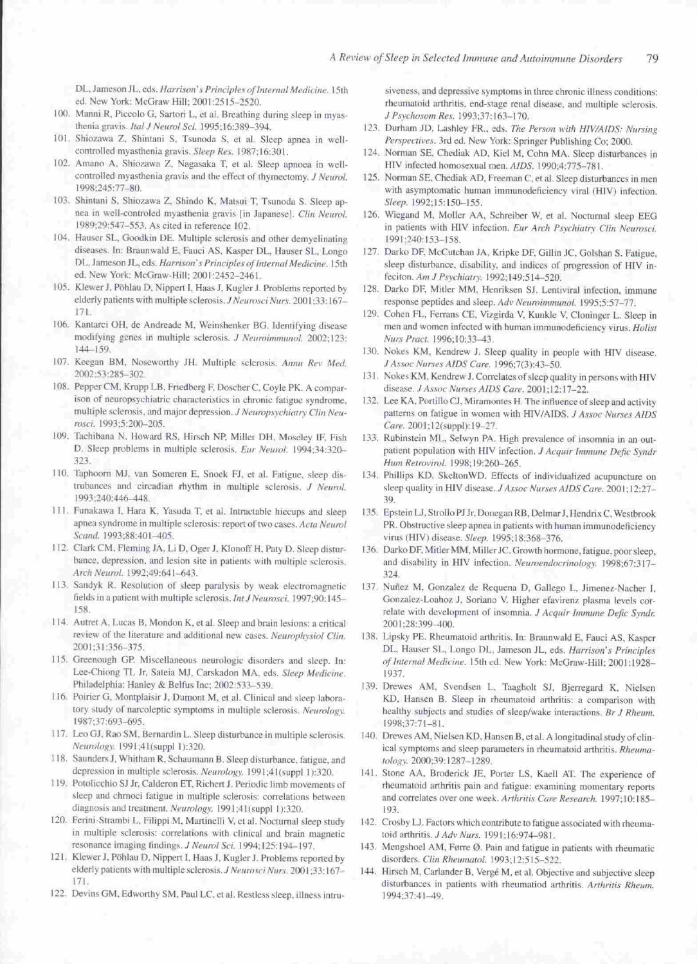DL, Jameson JL, eds. Harrison's Principles of Internal Medicine. 15th ed. New York: McGraw Hill; 2001:2515-2520.

- 100. Manni R, Piccolo G, Sartori L, et al. Breathing during sleep in myasthenia gravis. Ital J Neurol Sci. 1995:16:389-394.
- 101. Shiozawa Z, Shintani S, Tsunoda S, et al. Sleep apnea in wellcontrolled myasthenia gravis. Sleep Res. 1987;16:301.
- 102. Amano A, Shiozawa Z, Nagasaka T, et al. Sleep apnoea in wellcontrolled myasthenia gravis and the effect of thymectomy. J Neurol. 1998;245:77-80.
- 103. Shintani S, Shiozawa Z, Shindo K, Matsui T, Tsunoda S. Sleep apnea in well-controled myasthenia gravis [in Japanese]. Clin Neurol. 1989;29:547-553. As cited in reference 102.
- 104. Hauser SL, Goodkin DE. Multiple sclerosis and other demyelinating diseases. In: Braunwald E, Fauci AS, Kasper DL, Hauser SL, Longo DL, Jameson JL, eds. Harrison's Principles of Internal Medicine. 15th ed. New York: McGraw-Hill; 2001:2452-2461.
- 105. Klewer J, Pöhlau D, Nippert I, Haas J, Kugler J. Problems reported by elderly patients with multiple sclerosis. J Neurosci Nurs. 2001;33:167-171.
- 106. Kantarci OH, de Andreade M, Weinshenker BG. Identifying disease modifying genes in multiple sclerosis. J Neuroimmunol. 2002;123:  $144 - 159$
- 107. Keegan BM, Noseworthy JH. Multiple sclerosis. Annu Rev Med. 2002;53:285-302.
- 108. Pepper CM, Krupp LB, Friedberg F, Doscher C, Coyle PK. A comparison of neuropsychiatric characteristics in chronic fatigue syndrome, multiple sclerosis, and major depression. J Neuropsychiatry Clin Neurosci. 1993;5:200-205
- 109. Tachibana N, Howard RS, Hirsch NP, Miller DH, Moseley IF, Fish D. Sleep problems in multiple sclerosis. Eur Neurol. 1994;34:320-323.
- 110. Taphoorn MJ, van Someren E, Snoek FJ, et al. Fatigue, sleep distrubances and circadian rhythm in multiple sclerosis. J Neurol. 1993;240:446-448.
- 111. Funakawa I, Hara K, Yasuda T, et al. Intractable hiccups and sleep apnea syndrome in multiple sclerosis: report of two cases. Acta Neurol Scand. 1993;88:401-405.
- 112. Clark CM, Fleming JA, Li D, Oger J, Klonoff H, Paty D. Sleep disturbance, depression, and lesion site in patients with multiple sclerosis, Arch Neurol. 1992;49:641-643.
- 113. Sandyk R. Resolution of sleep paralysis by weak electromagnetic fields in a patient with multiple sclerosis. Int J Neurosci. 1997;90:145-158
- 114. Autret A, Lucas B, Mondon K, et al. Sleep and brain lesions: a critical review of the literature and additional new cases. Neurophysiol Clin. 2001;31:356-375.
- 115. Greenough GP. Miscellaneous neurologic disorders and sleep. In: Lee-Chiong TL Jr, Sateia MJ, Carskadon MA, eds. Sleep Medicine. Philadelphia: Hanley & Belfus Inc; 2002:533-539.
- 116. Poirier G, Montplaisir J, Dumont M, et al. Clinical and sleep laboratory study of narcoleptic symptoms in multiple sclerosis. Neurology. 1987:37:693-695.
- 117. Leo GJ, Rao SM, Bernardin L. Sleep disturbance in multiple sclerosis. Neurology. 1991;41(suppl 1):320.
- 118. Saunders J, Whitham R, Schaumann B. Sleep disturbance, fatigue, and depression in multiple sclerosis. Neurology. 1991;41(suppl 1):320.
- 119. Potolicchio SJ Jr, Calderon ET, Richert J. Periodic limb movements of sleep and chrnoci fatigue in multiple sclerosis: correlations between diagnosis and treatment. Neurology. 1991;41(suppl 1):320.
- 120. Ferini-Strambi L, Filippi M, Martinelli V, et al. Nocturnal sleep study in multiple sclerosis: correlations with clinical and brain magnetic resonance imaging findings. J Neurol Sci. 1994;125:194-197.
- 121. Klewer J, Pöhlau D, Nippert I, Haas J, Kugler J. Problems reported by elderly patients with multiple sclerosis. J Neurosci Nurs. 2001;33:167-171.
- 122. Devins GM, Edworthy SM, Paul LC, et al. Restless sleep, illness intru-

siveness, and depressive symptoms in three chronic illness conditions: rheumatoid arthritis, end-stage renal disease, and multiple sclerosis. J Psychosom Res. 1993;37:163-170.

- 123. Durham JD, Lashley FR., eds. The Person with HIV/AIDS: Nursing Perspectives. 3rd ed. New York: Springer Publishing Co; 2000.
- 124. Norman SE, Chediak AD, Kiel M, Cohn MA. Sleep disturbances in HIV infected homosexual men. AIDS. 1990;4:775-781.
- 125. Norman SE, Chediak AD, Freeman C, et al. Sleep disturbances in men with asymptomatic human immunodeficiency viral (HIV) infection. Sleep. 1992;15:150-155.
- 126. Wiegand M, Moller AA, Schreiber W, et al. Nocturnal sleep EEG in patients with HIV infection. Eur Arch Psychiatry Clin Neurosci. 1991;240:153-158.
- 127. Darko DF, McCutchan JA, Kripke DF, Gillin JC, Golshan S. Fatigue, sleep disturbance, disability, and indices of progression of HIV infeciton. Am J Psychiatry. 1992;149:514-520.
- 128. Darko DF, Mitler MM, Henriksen SJ. Lentiviral infection, immune response peptides and sleep. Adv Neuroimmunol. 1995;5:57-77.
- 129. Cohen FL, Ferrans CE, Vizgirda V, Kunkle V, Cloninger L. Sleep in men and women infected with human immunodeficiency virus. Holist Nurs Pract. 1996;10:33-43.
- 130. Nokes KM, Kendrew J. Sleep quality in people with HIV disease. J Assoc Nurses AIDS Care. 1996;7(3):43-50.
- 131. Nokes KM, Kendrew J. Correlates of sleep quality in persons with HIV disease. J Assoc Nurses AIDS Care. 2001;12:17-22.
- 132. Lee KA, Portillo CJ, Miramontes H. The influence of sleep and activity patterns on fatigue in women with HIV/AIDS. J Assoc Nurses AIDS Care. 2001;12(suppl):19-27.
- 133. Rubinstein ML, Selwyn PA. High prevalence of insomnia in an outpatient population with HIV infection. J Acquir Immune Defic Syndr Hum Retrovirol. 1998;19:260-265.
- 134. Phillips KD, SkeltonWD. Effects of individualized acupuncture on sleep quality in HIV disease. J Assoc Nurses AIDS Care. 2001;12:27-39
- 135. Epstein LJ, Strollo PJ Jr, Donegan RB, Delmar J, Hendrix C, Westbrook PR. Obstructive sleep apnea in patients with human immunodeficiency virus (HIV) disease. Sleep. 1995;18:368-376.
- 136. Darko DF, Mitler MM, Miller JC. Growth hormone, fatigue, poor sleep, and disability in HIV infection. Neuroendocrinology. 1998;67:317-324
- 137. Nuñez M, Gonzalez de Requena D, Gallego L, Jimenez-Nacher I, Gonzalez-Loahoz J, Soriano V. Higher efavirenz plasma levels correlate with development of insomnia. J Acquir Immune Defic Syndr. 2001;28:399-400.
- 138. Lipsky PE. Rheumatoid arthritis. In: Braunwald E, Fauci AS, Kasper DL, Hauser SL, Longo DL, Jameson JL, eds. Harrison's Principles of Internal Medicine. 15th ed. New York: McGraw-Hill; 2001:1928-1937.
- 139. Drewes AM, Svendsen L, Taagholt SJ, Bjerregard K, Nielsen KD, Hansen B. Sleep in rheumatoid arthritis: a comparison with healthy subjects and studies of sleep/wake interactions. Br J Rheum. 1998:37:71-81.
- 140. Drewes AM, Nielsen KD, Hansen B, et al. A longitudinal study of clinical symptoms and sleep parameters in rheumatoid arthritis. Rheumatology. 2000;39:1287-1289.
- 141. Stone AA, Broderick JE, Porter LS, Kaell AT. The experience of rheumatoid arthritis pain and fatigue: examining momentary reports and correlates over one week. Arthritis Care Research. 1997;10:185-193.
- 142. Crosby LJ. Factors which contribute to fatigue associated with rheumatoid arthritis. J Adv Nurs. 1991;16:974-981.
- 143. Mengshoel AM, Førre Ø. Pain and fatigue in patients with rheumatic disorders. Clin Rheumatol. 1993;12:515-522.
- 144. Hirsch M, Carlander B, Vergé M, et al. Objective and subjective sleep disturbances in patients with rheumatiod arthritis. Arthritis Rheum. 1994;37:41-49.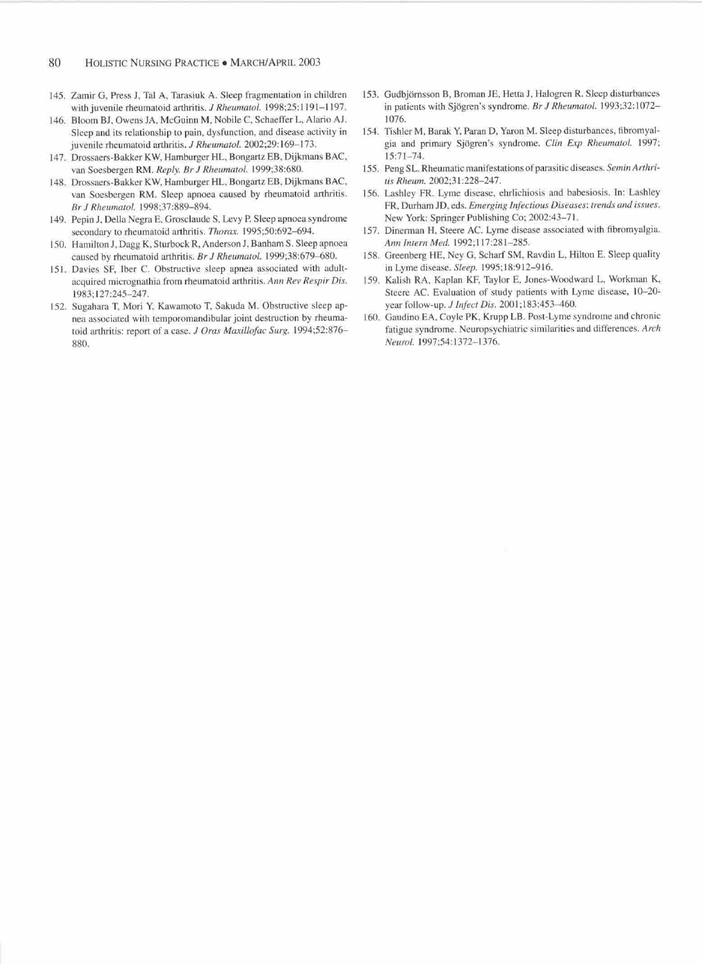- 145. Zamir G, Press J, Tal A, Tarasiuk A. Sleep fragmentation in children with juvenile rheumatoid arthritis. J Rheumatol. 1998;25:1191-1197.
- 146. Bloom BJ, Owens JA, McGuinn M, Nobile C, Schaeffer L, Alario AJ. Sleep and its relationship to pain, dysfunction, and disease activity in juvenile rheumatoid arthritis. J Rheumatol. 2002;29:169-173.
- 147. Drossaers-Bakker KW, Hamburger HL, Bongartz EB, Dijkmans BAC, van Soesbergen RM. Reply. Br J Rheumatol. 1999;38:680.
- 148. Drossaers-Bakker KW, Hamburger HL, Bongartz EB, Dijkmans BAC, van Soesbergen RM. Sleep apnoea caused by rheumatoid arthritis. Br J Rheumatol. 1998;37:889-894.
- 149. Pepin J, Della Negra E, Grosclaude S, Levy P. Sleep apnoea syndrome secondary to rheumatoid arthritis. Thorax. 1995;50:692-694.
- 150. Hamilton J, Dagg K, Sturbock R, Anderson J, Banham S. Sleep apnoea caused by rheumatoid arthritis. Br J Rheumatol. 1999;38:679-680.
- 151. Davies SF, Iber C. Obstructive sleep apnea associated with adultacquired micrognathia from rheumatoid arthritis. Ann Rev Respir Dis. 1983;127:245-247.
- 152. Sugahara T, Mori Y, Kawamoto T, Sakuda M. Obstructive sleep apnea associated with temporomandibular joint destruction by rheumatoid arthritis: report of a case. J Oras Maxillofac Surg. 1994;52:876-880.
- 153. Gudbjörnsson B, Broman JE, Hetta J, Halogren R. Sleep disturbances in patients with Sjögren's syndrome. Br J Rheumatol. 1993;32:1072-1076.
- 154. Tishler M, Barak Y, Paran D, Yaron M. Sleep disturbances, fibromyalgia and primary Sjögren's syndrome. Clin Exp Rheumatol. 1997;  $15:71 - 74.$
- 155. Peng SL. Rheumatic manifestations of parasitic diseases. Semin Arthritis Rheum. 2002:31:228-247.
- 156. Lashley FR. Lyme disease, ehrlichiosis and babesiosis. In: Lashley FR, Durham JD, eds. Emerging Infectious Diseases: trends and issues. New York: Springer Publishing Co; 2002:43-71.
- 157. Dinerman H, Steere AC. Lyme disease associated with fibromyalgia. Ann Intern Med. 1992;117:281-285.
- 158. Greenberg HE, Ney G, Scharf SM, Ravdin L, Hilton E. Sleep quality in Lyme disease. Sleep. 1995;18:912-916.
- 159. Kalish RA, Kaplan KF, Taylor E, Jones-Woodward L, Workman K, Steere AC. Evaluation of study patients with Lyme disease, 10-20year follow-up. J Infect Dis. 2001;183:453-460.
- 160. Gaudino EA, Coyle PK, Krupp LB. Post-Lyme syndrome and chronic fatigue syndrome. Neuropsychiatric similarities and differences. Arch Neurol. 1997;54:1372-1376.